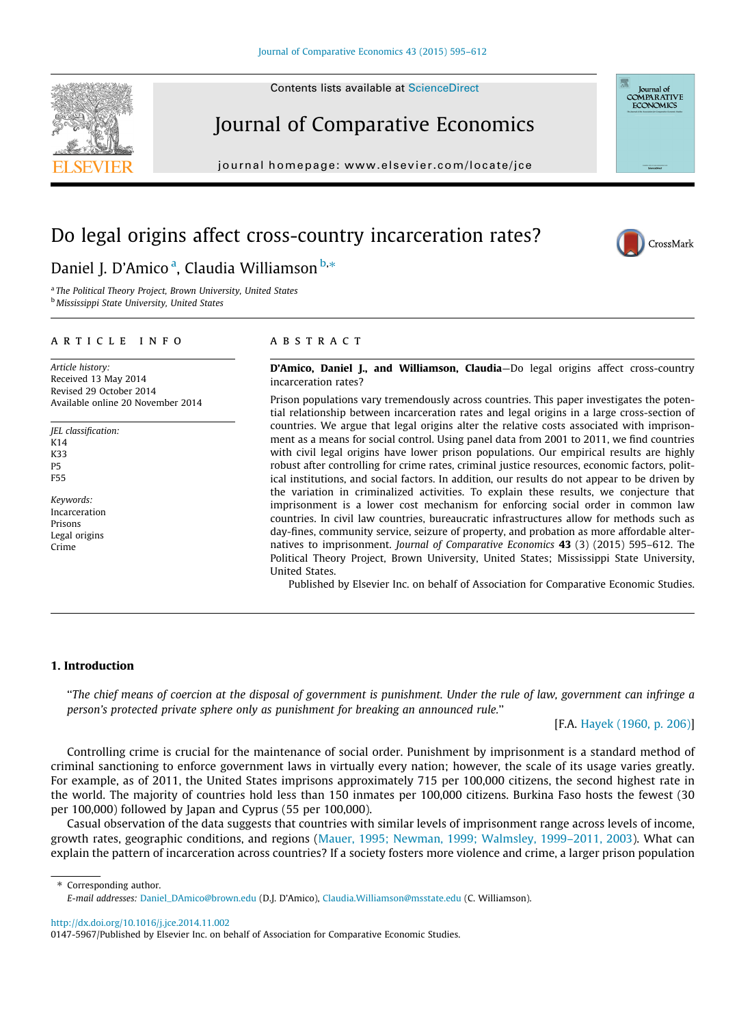Contents lists available at [ScienceDirect](http://www.sciencedirect.com/science/journal/01475967)





# Journal of Comparative Economics

journal homepage: [www.elsevier.com/locate/jce](http://www.elsevier.com/locate/jce)

# Do legal origins affect cross-country incarceration rates?



## Daniel J. D'Amico<sup>a</sup>, Claudia Williamson <sup>b,\*</sup>

<sup>a</sup> The Political Theory Project, Brown University, United States **b Mississippi State University, United States** 

## article info

Article history: Received 13 May 2014 Revised 29 October 2014 Available online 20 November 2014

JEL classification:  $K14$ K33 P5 F55

Keywords: Incarceration Prisons Legal origins Crime

## **ABSTRACT**

D'Amico, Daniel J., and Williamson, Claudia-Do legal origins affect cross-country incarceration rates?

Prison populations vary tremendously across countries. This paper investigates the potential relationship between incarceration rates and legal origins in a large cross-section of countries. We argue that legal origins alter the relative costs associated with imprisonment as a means for social control. Using panel data from 2001 to 2011, we find countries with civil legal origins have lower prison populations. Our empirical results are highly robust after controlling for crime rates, criminal justice resources, economic factors, political institutions, and social factors. In addition, our results do not appear to be driven by the variation in criminalized activities. To explain these results, we conjecture that imprisonment is a lower cost mechanism for enforcing social order in common law countries. In civil law countries, bureaucratic infrastructures allow for methods such as day-fines, community service, seizure of property, and probation as more affordable alternatives to imprisonment. Journal of Comparative Economics 43 (3) (2015) 595–612. The Political Theory Project, Brown University, United States; Mississippi State University, United States.

Published by Elsevier Inc. on behalf of Association for Comparative Economic Studies.

### 1. Introduction

''The chief means of coercion at the disposal of government is punishment. Under the rule of law, government can infringe a person's protected private sphere only as punishment for breaking an announced rule.''

[F.A. [Hayek \(1960, p. 206\)](#page-16-0)]

Controlling crime is crucial for the maintenance of social order. Punishment by imprisonment is a standard method of criminal sanctioning to enforce government laws in virtually every nation; however, the scale of its usage varies greatly. For example, as of 2011, the United States imprisons approximately 715 per 100,000 citizens, the second highest rate in the world. The majority of countries hold less than 150 inmates per 100,000 citizens. Burkina Faso hosts the fewest (30 per 100,000) followed by Japan and Cyprus (55 per 100,000).

Casual observation of the data suggests that countries with similar levels of imprisonment range across levels of income, growth rates, geographic conditions, and regions ([Mauer, 1995; Newman, 1999; Walmsley, 1999–2011, 2003](#page-17-0)). What can explain the pattern of incarceration across countries? If a society fosters more violence and crime, a larger prison population

⇑ Corresponding author.

<http://dx.doi.org/10.1016/j.jce.2014.11.002>

E-mail addresses: [Daniel\\_DAmico@brown.edu](mailto:Daniel_DAmico@brown.edu) (D.J. D'Amico), [Claudia.Williamson@msstate.edu](mailto:Claudia.Williamson@msstate.edu) (C. Williamson).

<sup>0147-5967/</sup>Published by Elsevier Inc. on behalf of Association for Comparative Economic Studies.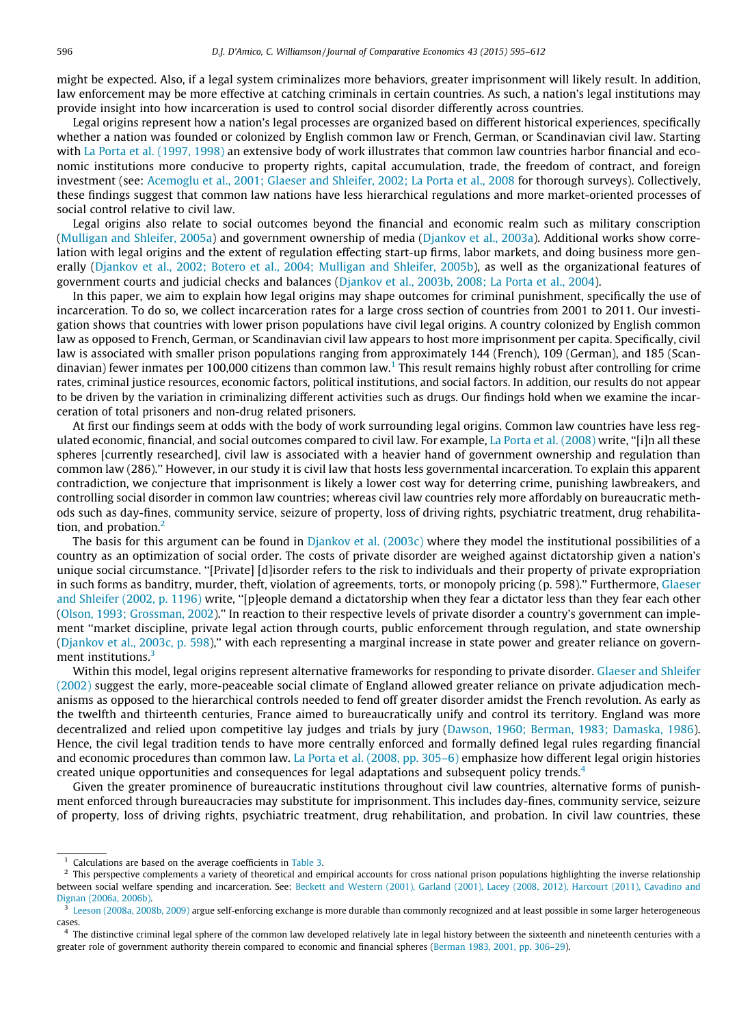might be expected. Also, if a legal system criminalizes more behaviors, greater imprisonment will likely result. In addition, law enforcement may be more effective at catching criminals in certain countries. As such, a nation's legal institutions may provide insight into how incarceration is used to control social disorder differently across countries.

Legal origins represent how a nation's legal processes are organized based on different historical experiences, specifically whether a nation was founded or colonized by English common law or French, German, or Scandinavian civil law. Starting with [La Porta et al. \(1997, 1998\)](#page-17-0) an extensive body of work illustrates that common law countries harbor financial and economic institutions more conducive to property rights, capital accumulation, trade, the freedom of contract, and foreign investment (see: [Acemoglu et al., 2001; Glaeser and Shleifer, 2002; La Porta et al., 2008](#page-16-0) for thorough surveys). Collectively, these findings suggest that common law nations have less hierarchical regulations and more market-oriented processes of social control relative to civil law.

Legal origins also relate to social outcomes beyond the financial and economic realm such as military conscription [\(Mulligan and Shleifer, 2005a\)](#page-17-0) and government ownership of media [\(Djankov et al., 2003a](#page-16-0)). Additional works show correlation with legal origins and the extent of regulation effecting start-up firms, labor markets, and doing business more gen-erally ([Djankov et al., 2002; Botero et al., 2004; Mulligan and Shleifer, 2005b\)](#page-16-0), as well as the organizational features of government courts and judicial checks and balances ([Djankov et al., 2003b, 2008; La Porta et al., 2004\)](#page-16-0).

In this paper, we aim to explain how legal origins may shape outcomes for criminal punishment, specifically the use of incarceration. To do so, we collect incarceration rates for a large cross section of countries from 2001 to 2011. Our investigation shows that countries with lower prison populations have civil legal origins. A country colonized by English common law as opposed to French, German, or Scandinavian civil law appears to host more imprisonment per capita. Specifically, civil law is associated with smaller prison populations ranging from approximately 144 (French), 109 (German), and 185 (Scandinavian) fewer inmates per 100,000 citizens than common law.<sup>1</sup> This result remains highly robust after controlling for crime rates, criminal justice resources, economic factors, political institutions, and social factors. In addition, our results do not appear to be driven by the variation in criminalizing different activities such as drugs. Our findings hold when we examine the incarceration of total prisoners and non-drug related prisoners.

At first our findings seem at odds with the body of work surrounding legal origins. Common law countries have less regulated economic, financial, and social outcomes compared to civil law. For example, [La Porta et al. \(2008\)](#page-17-0) write, ''[i]n all these spheres [currently researched], civil law is associated with a heavier hand of government ownership and regulation than common law (286).'' However, in our study it is civil law that hosts less governmental incarceration. To explain this apparent contradiction, we conjecture that imprisonment is likely a lower cost way for deterring crime, punishing lawbreakers, and controlling social disorder in common law countries; whereas civil law countries rely more affordably on bureaucratic methods such as day-fines, community service, seizure of property, loss of driving rights, psychiatric treatment, drug rehabilitation, and probation.<sup>2</sup>

The basis for this argument can be found in  $Djankov$  et al. (2003c) where they model the institutional possibilities of a country as an optimization of social order. The costs of private disorder are weighed against dictatorship given a nation's unique social circumstance. ''[Private] [d]isorder refers to the risk to individuals and their property of private expropriation in such forms as banditry, murder, theft, violation of agreements, torts, or monopoly pricing (p. 598)." Furthermore, [Glaeser](#page-16-0) [and Shleifer \(2002, p. 1196\)](#page-16-0) write, ''[p]eople demand a dictatorship when they fear a dictator less than they fear each other [\(Olson, 1993; Grossman, 2002\)](#page-17-0).'' In reaction to their respective levels of private disorder a country's government can implement ''market discipline, private legal action through courts, public enforcement through regulation, and state ownership [\(Djankov et al., 2003c, p. 598\)](#page-16-0),'' with each representing a marginal increase in state power and greater reliance on government institutions.<sup>3</sup>

Within this model, legal origins represent alternative frameworks for responding to private disorder. [Glaeser and Shleifer](#page-16-0) [\(2002\)](#page-16-0) suggest the early, more-peaceable social climate of England allowed greater reliance on private adjudication mechanisms as opposed to the hierarchical controls needed to fend off greater disorder amidst the French revolution. As early as the twelfth and thirteenth centuries, France aimed to bureaucratically unify and control its territory. England was more decentralized and relied upon competitive lay judges and trials by jury ([Dawson, 1960; Berman, 1983; Damaska, 1986](#page-16-0)). Hence, the civil legal tradition tends to have more centrally enforced and formally defined legal rules regarding financial and economic procedures than common law. [La Porta et al. \(2008, pp. 305–6\)](#page-17-0) emphasize how different legal origin histories created unique opportunities and consequences for legal adaptations and subsequent policy trends.<sup>4</sup>

Given the greater prominence of bureaucratic institutions throughout civil law countries, alternative forms of punishment enforced through bureaucracies may substitute for imprisonment. This includes day-fines, community service, seizure of property, loss of driving rights, psychiatric treatment, drug rehabilitation, and probation. In civil law countries, these

Calculations are based on the average coefficients in [Table 3](#page-6-0).

 $<sup>2</sup>$  This perspective complements a variety of theoretical and empirical accounts for cross national prison populations highlighting the inverse relationship</sup> between social welfare spending and incarceration. See: [Beckett and Western \(2001\), Garland \(2001\), Lacey \(2008, 2012\), Harcourt \(2011\), Cavadino and](#page-16-0) [Dignan \(2006a, 2006b\)](#page-16-0).

 $3 \text{ }$  [Leeson \(2008a, 2008b, 2009\)](#page-17-0) argue self-enforcing exchange is more durable than commonly recognized and at least possible in some larger heterogeneous cases.

<sup>&</sup>lt;sup>4</sup> The distinctive criminal legal sphere of the common law developed relatively late in legal history between the sixteenth and nineteenth centuries with a greater role of government authority therein compared to economic and financial spheres [\(Berman 1983, 2001, pp. 306–29](#page-16-0)).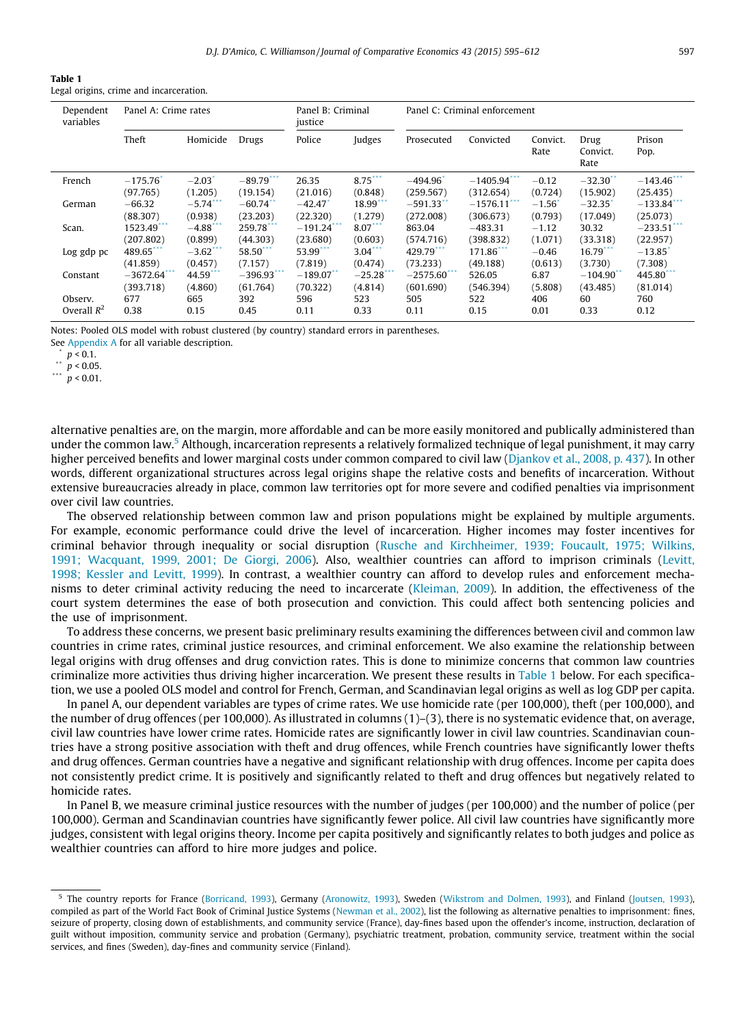<span id="page-2-0"></span>Legal origins, crime and incarceration.

| Dependent<br>variables | Panel A: Crime rates |                      | Panel B: Criminal<br>justice |                        | Panel C: Criminal enforcement |              |                |                  |                          |                |
|------------------------|----------------------|----------------------|------------------------------|------------------------|-------------------------------|--------------|----------------|------------------|--------------------------|----------------|
|                        | Theft                | Homicide             | Drugs                        | Police                 | Judges                        | Prosecuted   | Convicted      | Convict.<br>Rate | Drug<br>Convict.<br>Rate | Prison<br>Pop. |
| French                 | $-175.76$            | $-2.03$              | $-89.79$ ***                 | 26.35                  | $8.75***$                     | $-494.96$    | $-1405.94$ *** | $-0.12$          | $-32.30$                 | $-143.46$      |
|                        | (97.765)             | (1.205)              | (19.154)                     | (21.016)               | (0.848)                       | (259.567)    | (312.654)      | (0.724)          | (15.902)                 | (25.435)       |
| German                 | $-66.32$             | $-5.74$ <sup>*</sup> | $-60.74$ <sup>*</sup>        | $-42.47$               | 18.99                         | $-591.33$ ** | $-1576.11$     | $-1.56$          | $-32.35$                 | $-133.84$      |
|                        | (88.307)             | (0.938)              | (23.203)                     | (22.320)               | (1.279)                       | (272.008)    | (306.673)      | (0.793)          | (17.049)                 | (25.073)       |
| Scan.                  | 1523.49              | $-4.88$              | 259.78                       | $-191.24$              | 8.07                          | 863.04       | $-483.31$      | $-1.12$          | 30.32                    | $-233.51$      |
|                        | (207.802)            | (0.899)              | (44.303)                     | (23.680)               | (0.603)                       | (574.716)    | (398.832)      | (1.071)          | (33.318)                 | (22.957)       |
| Log gdp pc             | 489.65               | $-3.62$              | 58.50                        | 53.99                  | $3.04$ <sup>**</sup>          | 429.79***    | 171.86         | $-0.46$          | 16.79                    | $-13.85$       |
|                        | (41.859)             | (0.457)              | (7.157)                      | (7.819)                | (0.474)                       | (73.233)     | (49.188)       | (0.613)          | (3.730)                  | (7.308)        |
| Constant               | $-3672.64$ ***       | 44.59                | $-396.93$                    | $-189.07$ <sup>*</sup> | $-25.28$                      | $-2575.60$   | 526.05         | 6.87             | $-104.90$ <sup>*</sup>   | 445.80         |
|                        | (393.718)            | (4.860)              | (61.764)                     | (70.322)               | (4.814)                       | (601.690)    | (546.394)      | (5.808)          | (43.485)                 | (81.014)       |
| Observ.                | 677                  | 665                  | 392                          | 596                    | 523                           | 505          | 522            | 406              | 60                       | 760            |
| Overall $R^2$          | 0.38                 | 0.15                 | 0.45                         | 0.11                   | 0.33                          | 0.11         | 0.15           | 0.01             | 0.33                     | 0.12           |

Notes: Pooled OLS model with robust clustered (by country) standard errors in parentheses.

See [Appendix A](#page-13-0) for all variable description.

 $\binom{p}{1}$  p < 0.1.

 $p < 0.05$ .

\*\*\*  $p < 0.01$ .

alternative penalties are, on the margin, more affordable and can be more easily monitored and publically administered than under the common law.<sup>5</sup> Although, incarceration represents a relatively formalized technique of legal punishment, it may carry higher perceived benefits and lower marginal costs under common compared to civil law [\(Djankov et al., 2008, p. 437](#page-16-0)). In other words, different organizational structures across legal origins shape the relative costs and benefits of incarceration. Without extensive bureaucracies already in place, common law territories opt for more severe and codified penalties via imprisonment over civil law countries.

The observed relationship between common law and prison populations might be explained by multiple arguments. For example, economic performance could drive the level of incarceration. Higher incomes may foster incentives for criminal behavior through inequality or social disruption [\(Rusche and Kirchheimer, 1939; Foucault, 1975; Wilkins,](#page-17-0) [1991; Wacquant, 1999, 2001; De Giorgi, 2006\)](#page-17-0). Also, wealthier countries can afford to imprison criminals ([Levitt,](#page-17-0) [1998; Kessler and Levitt, 1999](#page-17-0)). In contrast, a wealthier country can afford to develop rules and enforcement mechanisms to deter criminal activity reducing the need to incarcerate [\(Kleiman, 2009\)](#page-16-0). In addition, the effectiveness of the court system determines the ease of both prosecution and conviction. This could affect both sentencing policies and the use of imprisonment.

To address these concerns, we present basic preliminary results examining the differences between civil and common law countries in crime rates, criminal justice resources, and criminal enforcement. We also examine the relationship between legal origins with drug offenses and drug conviction rates. This is done to minimize concerns that common law countries criminalize more activities thus driving higher incarceration. We present these results in Table 1 below. For each specification, we use a pooled OLS model and control for French, German, and Scandinavian legal origins as well as log GDP per capita.

In panel A, our dependent variables are types of crime rates. We use homicide rate (per 100,000), theft (per 100,000), and the number of drug offences (per 100,000). As illustrated in columns (1)–(3), there is no systematic evidence that, on average, civil law countries have lower crime rates. Homicide rates are significantly lower in civil law countries. Scandinavian countries have a strong positive association with theft and drug offences, while French countries have significantly lower thefts and drug offences. German countries have a negative and significant relationship with drug offences. Income per capita does not consistently predict crime. It is positively and significantly related to theft and drug offences but negatively related to homicide rates.

In Panel B, we measure criminal justice resources with the number of judges (per 100,000) and the number of police (per 100,000). German and Scandinavian countries have significantly fewer police. All civil law countries have significantly more judges, consistent with legal origins theory. Income per capita positively and significantly relates to both judges and police as wealthier countries can afford to hire more judges and police.

<sup>5</sup> The country reports for France ([Borricand, 1993\)](#page-16-0), Germany ([Aronowitz, 1993\)](#page-16-0), Sweden [\(Wikstrom and Dolmen, 1993](#page-17-0)), and Finland [\(Joutsen, 1993](#page-16-0)), compiled as part of the World Fact Book of Criminal Justice Systems [\(Newman et al., 2002\)](#page-17-0), list the following as alternative penalties to imprisonment: fines, seizure of property, closing down of establishments, and community service (France), day-fines based upon the offender's income, instruction, declaration of guilt without imposition, community service and probation (Germany), psychiatric treatment, probation, community service, treatment within the social services, and fines (Sweden), day-fines and community service (Finland).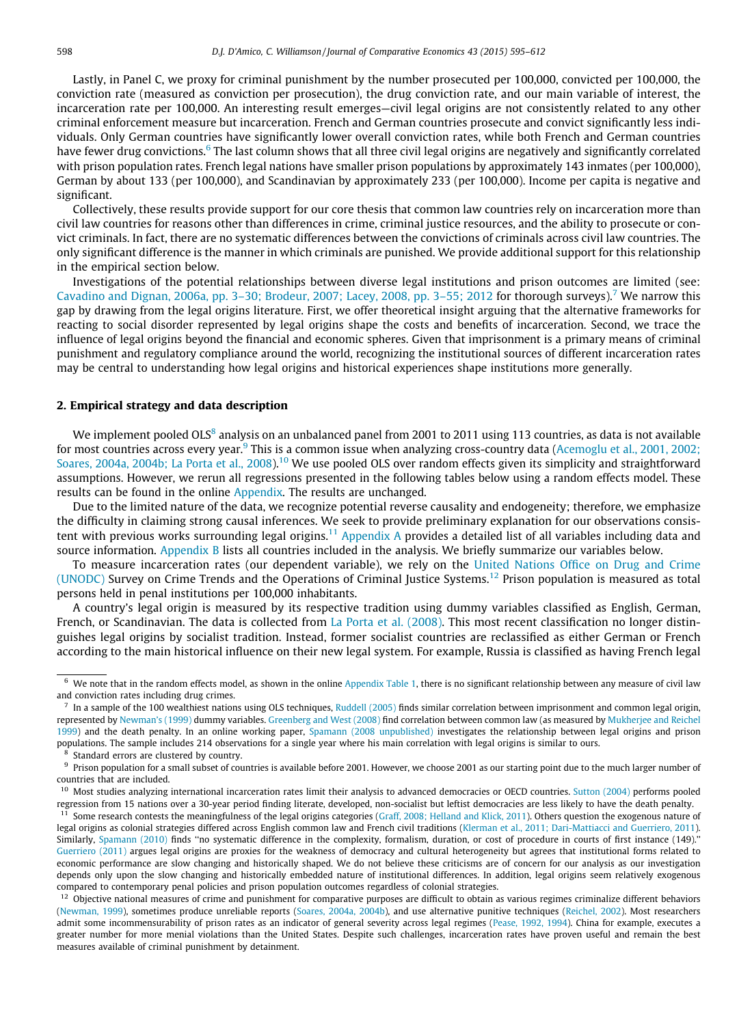Lastly, in Panel C, we proxy for criminal punishment by the number prosecuted per 100,000, convicted per 100,000, the conviction rate (measured as conviction per prosecution), the drug conviction rate, and our main variable of interest, the incarceration rate per 100,000. An interesting result emerges—civil legal origins are not consistently related to any other criminal enforcement measure but incarceration. French and German countries prosecute and convict significantly less individuals. Only German countries have significantly lower overall conviction rates, while both French and German countries have fewer drug convictions.<sup>6</sup> The last column shows that all three civil legal origins are negatively and significantly correlated with prison population rates. French legal nations have smaller prison populations by approximately 143 inmates (per 100,000), German by about 133 (per 100,000), and Scandinavian by approximately 233 (per 100,000). Income per capita is negative and significant.

Collectively, these results provide support for our core thesis that common law countries rely on incarceration more than civil law countries for reasons other than differences in crime, criminal justice resources, and the ability to prosecute or convict criminals. In fact, there are no systematic differences between the convictions of criminals across civil law countries. The only significant difference is the manner in which criminals are punished. We provide additional support for this relationship in the empirical section below.

Investigations of the potential relationships between diverse legal institutions and prison outcomes are limited (see: [Cavadino and Dignan, 2006a, pp. 3–30; Brodeur, 2007; Lacey, 2008, pp. 3–55; 2012](#page-16-0) for thorough surveys).<sup>7</sup> We narrow this gap by drawing from the legal origins literature. First, we offer theoretical insight arguing that the alternative frameworks for reacting to social disorder represented by legal origins shape the costs and benefits of incarceration. Second, we trace the influence of legal origins beyond the financial and economic spheres. Given that imprisonment is a primary means of criminal punishment and regulatory compliance around the world, recognizing the institutional sources of different incarceration rates may be central to understanding how legal origins and historical experiences shape institutions more generally.

## 2. Empirical strategy and data description

We implement pooled OLS<sup>8</sup> analysis on an unbalanced panel from 2001 to 2011 using 113 countries, as data is not available for most countries across every year.<sup>9</sup> This is a common issue when analyzing cross-country data [\(Acemoglu et al., 2001, 2002;](#page-16-0) [Soares, 2004a, 2004b; La Porta et al., 2008](#page-16-0)).<sup>10</sup> We use pooled OLS over random effects given its simplicity and straightforward assumptions. However, we rerun all regressions presented in the following tables below using a random effects model. These results can be found in the online Appendix. The results are unchanged.

Due to the limited nature of the data, we recognize potential reverse causality and endogeneity; therefore, we emphasize the difficulty in claiming strong causal inferences. We seek to provide preliminary explanation for our observations consis-tent with previous works surrounding legal origins.<sup>11</sup> [Appendix A](#page-13-0) provides a detailed list of all variables including data and source information. [Appendix B](#page-15-0) lists all countries included in the analysis. We briefly summarize our variables below.

To measure incarceration rates (our dependent variable), we rely on the [United Nations Office on Drug and Crime](#page-17-0) [\(UNODC\)](#page-17-0) Survey on Crime Trends and the Operations of Criminal Justice Systems.12 Prison population is measured as total persons held in penal institutions per 100,000 inhabitants.

A country's legal origin is measured by its respective tradition using dummy variables classified as English, German, French, or Scandinavian. The data is collected from [La Porta et al. \(2008\)](#page-17-0). This most recent classification no longer distinguishes legal origins by socialist tradition. Instead, former socialist countries are reclassified as either German or French according to the main historical influence on their new legal system. For example, Russia is classified as having French legal

 $6\,$  We note that in the random effects model, as shown in the online Appendix Table 1, there is no significant relationship between any measure of civil law and conviction rates including drug crimes.

 $^7$  In a sample of the 100 wealthiest nations using OLS techniques, [Ruddell \(2005\)](#page-17-0) finds similar correlation between imprisonment and common legal origin, represented by [Newman's \(1999\)](#page-17-0) dummy variables. [Greenberg and West \(2008\)](#page-16-0) find correlation between common law (as measured by [Mukherjee and Reichel](#page-17-0) [1999](#page-17-0)) and the death penalty. In an online working paper, [Spamann \(2008 unpublished\)](#page-17-0) investigates the relationship between legal origins and prison populations. The sample includes 214 observations for a single year where his main correlation with legal origins is similar to ours.

Standard errors are clustered by country.

<sup>&</sup>lt;sup>9</sup> Prison population for a small subset of countries is available before 2001. However, we choose 2001 as our starting point due to the much larger number of countries that are included.

<sup>&</sup>lt;sup>10</sup> Most studies analyzing international incarceration rates limit their analysis to advanced democracies or OECD countries. [Sutton \(2004\)](#page-17-0) performs pooled regression from 15 nations over a 30-year period finding literate, developed, non-socialist but leftist democracies are less likely to have the death penalty.

 $11$  Some research contests the meaningfulness of the legal origins categories [\(Graff, 2008; Helland and Klick, 2011](#page-16-0)). Others question the exogenous nature of legal origins as colonial strategies differed across English common law and French civil traditions [\(Klerman et al., 2011; Dari-Mattiacci and Guerriero, 2011\)](#page-16-0). Similarly, [Spamann \(2010\)](#page-17-0) finds ''no systematic difference in the complexity, formalism, duration, or cost of procedure in courts of first instance (149).'' [Guerriero \(2011\)](#page-16-0) argues legal origins are proxies for the weakness of democracy and cultural heterogeneity but agrees that institutional forms related to economic performance are slow changing and historically shaped. We do not believe these criticisms are of concern for our analysis as our investigation depends only upon the slow changing and historically embedded nature of institutional differences. In addition, legal origins seem relatively exogenous compared to contemporary penal policies and prison population outcomes regardless of colonial strategies.

 $12$  Objective national measures of crime and punishment for comparative purposes are difficult to obtain as various regimes criminalize different behaviors ([Newman, 1999](#page-17-0)), sometimes produce unreliable reports [\(Soares, 2004a, 2004b\)](#page-17-0), and use alternative punitive techniques ([Reichel, 2002\)](#page-17-0). Most researchers admit some incommensurability of prison rates as an indicator of general severity across legal regimes [\(Pease, 1992, 1994\)](#page-17-0). China for example, executes a greater number for more menial violations than the United States. Despite such challenges, incarceration rates have proven useful and remain the best measures available of criminal punishment by detainment.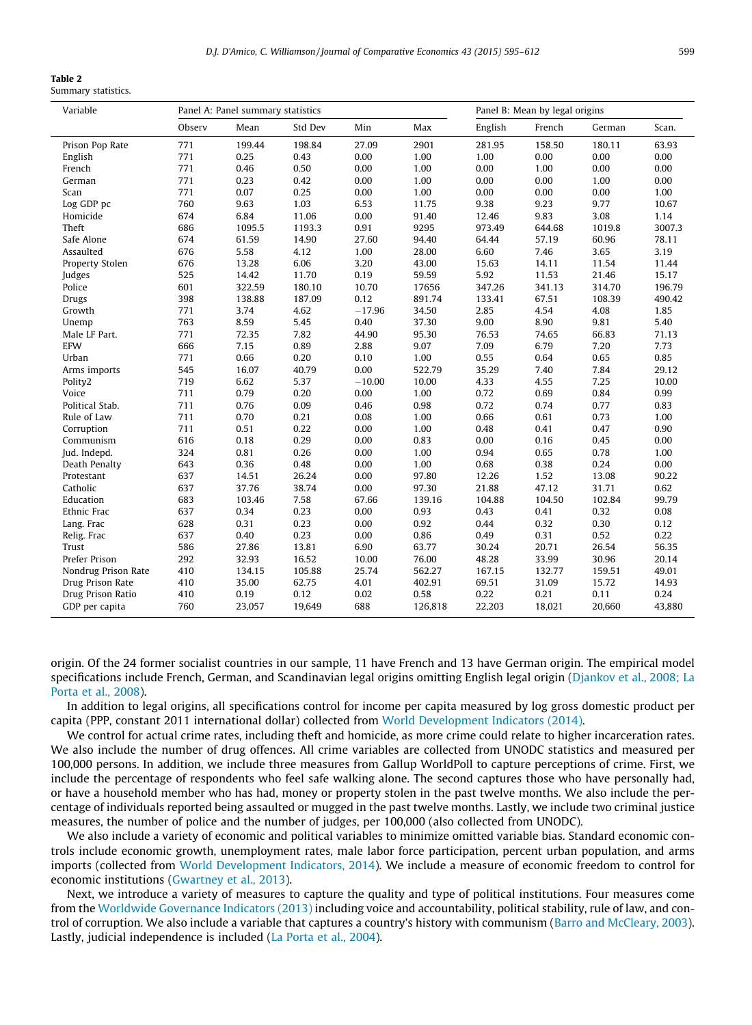<span id="page-4-0"></span>

| в<br>n<br>ı<br>٠<br>× |  |
|-----------------------|--|
|-----------------------|--|

| Summary statistics. |  |
|---------------------|--|
|---------------------|--|

| Variable            |        | Panel A: Panel summary statistics |         |          |         | Panel B: Mean by legal origins |        |        |        |
|---------------------|--------|-----------------------------------|---------|----------|---------|--------------------------------|--------|--------|--------|
|                     | Observ | Mean                              | Std Dev | Min      | Max     | English                        | French | German | Scan.  |
| Prison Pop Rate     | 771    | 199.44                            | 198.84  | 27.09    | 2901    | 281.95                         | 158.50 | 180.11 | 63.93  |
| English             | 771    | 0.25                              | 0.43    | 0.00     | 1.00    | 1.00                           | 0.00   | 0.00   | 0.00   |
| French              | 771    | 0.46                              | 0.50    | 0.00     | 1.00    | 0.00                           | 1.00   | 0.00   | 0.00   |
| German              | 771    | 0.23                              | 0.42    | 0.00     | 1.00    | 0.00                           | 0.00   | 1.00   | 0.00   |
| Scan                | 771    | 0.07                              | 0.25    | 0.00     | 1.00    | 0.00                           | 0.00   | 0.00   | 1.00   |
| Log GDP pc          | 760    | 9.63                              | 1.03    | 6.53     | 11.75   | 9.38                           | 9.23   | 9.77   | 10.67  |
| Homicide            | 674    | 6.84                              | 11.06   | 0.00     | 91.40   | 12.46                          | 9.83   | 3.08   | 1.14   |
| Theft               | 686    | 1095.5                            | 1193.3  | 0.91     | 9295    | 973.49                         | 644.68 | 1019.8 | 3007.3 |
| Safe Alone          | 674    | 61.59                             | 14.90   | 27.60    | 94.40   | 64.44                          | 57.19  | 60.96  | 78.11  |
| Assaulted           | 676    | 5.58                              | 4.12    | 1.00     | 28.00   | 6.60                           | 7.46   | 3.65   | 3.19   |
| Property Stolen     | 676    | 13.28                             | 6.06    | 3.20     | 43.00   | 15.63                          | 14.11  | 11.54  | 11.44  |
| Judges              | 525    | 14.42                             | 11.70   | 0.19     | 59.59   | 5.92                           | 11.53  | 21.46  | 15.17  |
| Police              | 601    | 322.59                            | 180.10  | 10.70    | 17656   | 347.26                         | 341.13 | 314.70 | 196.79 |
| Drugs               | 398    | 138.88                            | 187.09  | 0.12     | 891.74  | 133.41                         | 67.51  | 108.39 | 490.42 |
| Growth              | 771    | 3.74                              | 4.62    | $-17.96$ | 34.50   | 2.85                           | 4.54   | 4.08   | 1.85   |
| Unemp               | 763    | 8.59                              | 5.45    | 0.40     | 37.30   | 9.00                           | 8.90   | 9.81   | 5.40   |
| Male LF Part.       | 771    | 72.35                             | 7.82    | 44.90    | 95.30   | 76.53                          | 74.65  | 66.83  | 71.13  |
| <b>EFW</b>          | 666    | 7.15                              | 0.89    | 2.88     | 9.07    | 7.09                           | 6.79   | 7.20   | 7.73   |
| Urban               | 771    | 0.66                              | 0.20    | 0.10     | 1.00    | 0.55                           | 0.64   | 0.65   | 0.85   |
| Arms imports        | 545    | 16.07                             | 40.79   | 0.00     | 522.79  | 35.29                          | 7.40   | 7.84   | 29.12  |
| Polity2             | 719    | 6.62                              | 5.37    | $-10.00$ | 10.00   | 4.33                           | 4.55   | 7.25   | 10.00  |
| Voice               | 711    | 0.79                              | 0.20    | 0.00     | 1.00    | 0.72                           | 0.69   | 0.84   | 0.99   |
| Political Stab.     | 711    | 0.76                              | 0.09    | 0.46     | 0.98    | 0.72                           | 0.74   | 0.77   | 0.83   |
| Rule of Law         | 711    | 0.70                              | 0.21    | 0.08     | 1.00    | 0.66                           | 0.61   | 0.73   | 1.00   |
| Corruption          | 711    | 0.51                              | 0.22    | 0.00     | 1.00    | 0.48                           | 0.41   | 0.47   | 0.90   |
| Communism           | 616    | 0.18                              | 0.29    | 0.00     | 0.83    | 0.00                           | 0.16   | 0.45   | 0.00   |
| Jud. Indepd.        | 324    | 0.81                              | 0.26    | 0.00     | 1.00    | 0.94                           | 0.65   | 0.78   | 1.00   |
| Death Penalty       | 643    | 0.36                              | 0.48    | 0.00     | 1.00    | 0.68                           | 0.38   | 0.24   | 0.00   |
| Protestant          | 637    | 14.51                             | 26.24   | 0.00     | 97.80   | 12.26                          | 1.52   | 13.08  | 90.22  |
| Catholic            | 637    | 37.76                             | 38.74   | 0.00     | 97.30   | 21.88                          | 47.12  | 31.71  | 0.62   |
| Education           | 683    | 103.46                            | 7.58    | 67.66    | 139.16  | 104.88                         | 104.50 | 102.84 | 99.79  |
| Ethnic Frac         | 637    | 0.34                              | 0.23    | 0.00     | 0.93    | 0.43                           | 0.41   | 0.32   | 0.08   |
| Lang. Frac          | 628    | 0.31                              | 0.23    | 0.00     | 0.92    | 0.44                           | 0.32   | 0.30   | 0.12   |
| Relig. Frac         | 637    | 0.40                              | 0.23    | 0.00     | 0.86    | 0.49                           | 0.31   | 0.52   | 0.22   |
| Trust               | 586    | 27.86                             | 13.81   | 6.90     | 63.77   | 30.24                          | 20.71  | 26.54  | 56.35  |
| Prefer Prison       | 292    | 32.93                             | 16.52   | 10.00    | 76.00   | 48.28                          | 33.99  | 30.96  | 20.14  |
| Nondrug Prison Rate | 410    | 134.15                            | 105.88  | 25.74    | 562.27  | 167.15                         | 132.77 | 159.51 | 49.01  |
| Drug Prison Rate    | 410    | 35.00                             | 62.75   | 4.01     | 402.91  | 69.51                          | 31.09  | 15.72  | 14.93  |
| Drug Prison Ratio   | 410    | 0.19                              | 0.12    | 0.02     | 0.58    | 0.22                           | 0.21   | 0.11   | 0.24   |
| GDP per capita      | 760    | 23,057                            | 19,649  | 688      | 126,818 | 22,203                         | 18,021 | 20,660 | 43,880 |

origin. Of the 24 former socialist countries in our sample, 11 have French and 13 have German origin. The empirical model specifications include French, German, and Scandinavian legal origins omitting English legal origin ([Djankov et al., 2008; La](#page-16-0) [Porta et al., 2008](#page-16-0)).

In addition to legal origins, all specifications control for income per capita measured by log gross domestic product per capita (PPP, constant 2011 international dollar) collected from [World Development Indicators \(2014\).](#page-17-0)

We control for actual crime rates, including theft and homicide, as more crime could relate to higher incarceration rates. We also include the number of drug offences. All crime variables are collected from UNODC statistics and measured per 100,000 persons. In addition, we include three measures from Gallup WorldPoll to capture perceptions of crime. First, we include the percentage of respondents who feel safe walking alone. The second captures those who have personally had, or have a household member who has had, money or property stolen in the past twelve months. We also include the percentage of individuals reported being assaulted or mugged in the past twelve months. Lastly, we include two criminal justice measures, the number of police and the number of judges, per 100,000 (also collected from UNODC).

We also include a variety of economic and political variables to minimize omitted variable bias. Standard economic controls include economic growth, unemployment rates, male labor force participation, percent urban population, and arms imports (collected from [World Development Indicators, 2014\)](#page-17-0). We include a measure of economic freedom to control for economic institutions ([Gwartney et al., 2013\)](#page-16-0).

Next, we introduce a variety of measures to capture the quality and type of political institutions. Four measures come from the [Worldwide Governance Indicators \(2013\)](#page-17-0) including voice and accountability, political stability, rule of law, and control of corruption. We also include a variable that captures a country's history with communism [\(Barro and McCleary, 2003](#page-16-0)). Lastly, judicial independence is included [\(La Porta et al., 2004](#page-17-0)).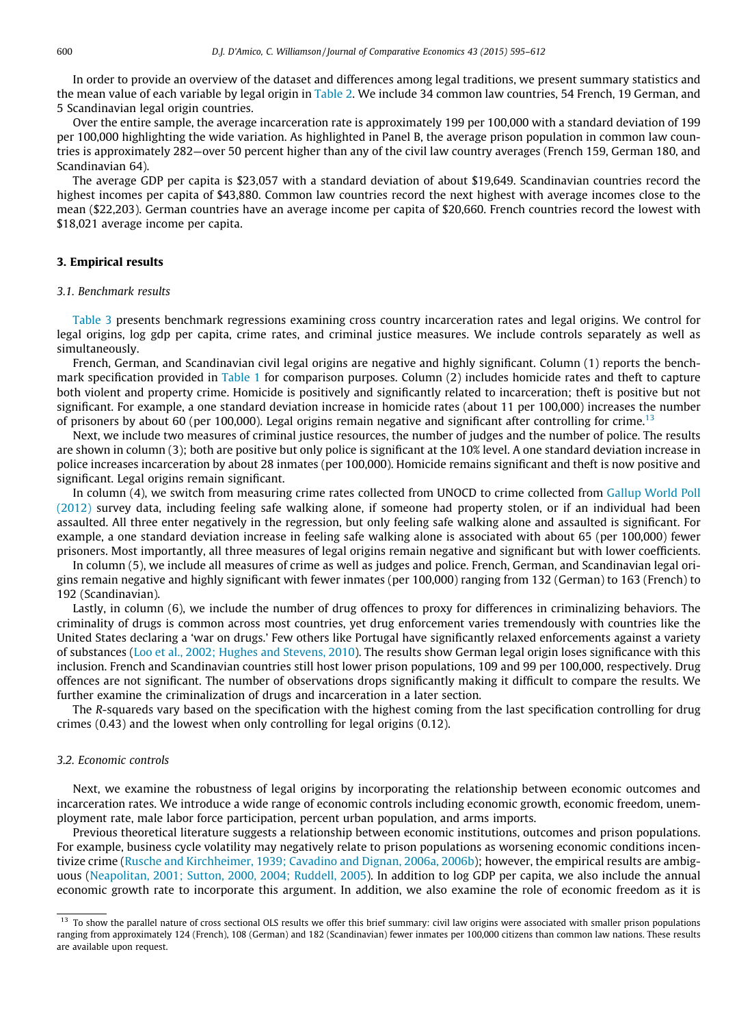In order to provide an overview of the dataset and differences among legal traditions, we present summary statistics and the mean value of each variable by legal origin in [Table 2](#page-4-0). We include 34 common law countries, 54 French, 19 German, and 5 Scandinavian legal origin countries.

Over the entire sample, the average incarceration rate is approximately 199 per 100,000 with a standard deviation of 199 per 100,000 highlighting the wide variation. As highlighted in Panel B, the average prison population in common law countries is approximately 282—over 50 percent higher than any of the civil law country averages (French 159, German 180, and Scandinavian 64).

The average GDP per capita is \$23,057 with a standard deviation of about \$19,649. Scandinavian countries record the highest incomes per capita of \$43,880. Common law countries record the next highest with average incomes close to the mean (\$22,203). German countries have an average income per capita of \$20,660. French countries record the lowest with \$18,021 average income per capita.

## 3. Empirical results

## 3.1. Benchmark results

[Table 3](#page-6-0) presents benchmark regressions examining cross country incarceration rates and legal origins. We control for legal origins, log gdp per capita, crime rates, and criminal justice measures. We include controls separately as well as simultaneously.

French, German, and Scandinavian civil legal origins are negative and highly significant. Column (1) reports the benchmark specification provided in [Table 1](#page-2-0) for comparison purposes. Column (2) includes homicide rates and theft to capture both violent and property crime. Homicide is positively and significantly related to incarceration; theft is positive but not significant. For example, a one standard deviation increase in homicide rates (about 11 per 100,000) increases the number of prisoners by about 60 (per 100,000). Legal origins remain negative and significant after controlling for crime.<sup>13</sup>

Next, we include two measures of criminal justice resources, the number of judges and the number of police. The results are shown in column (3); both are positive but only police is significant at the 10% level. A one standard deviation increase in police increases incarceration by about 28 inmates (per 100,000). Homicide remains significant and theft is now positive and significant. Legal origins remain significant.

In column (4), we switch from measuring crime rates collected from UNOCD to crime collected from [Gallup World Poll](#page-16-0) [\(2012\)](#page-16-0) survey data, including feeling safe walking alone, if someone had property stolen, or if an individual had been assaulted. All three enter negatively in the regression, but only feeling safe walking alone and assaulted is significant. For example, a one standard deviation increase in feeling safe walking alone is associated with about 65 (per 100,000) fewer prisoners. Most importantly, all three measures of legal origins remain negative and significant but with lower coefficients.

In column (5), we include all measures of crime as well as judges and police. French, German, and Scandinavian legal origins remain negative and highly significant with fewer inmates (per 100,000) ranging from 132 (German) to 163 (French) to 192 (Scandinavian).

Lastly, in column (6), we include the number of drug offences to proxy for differences in criminalizing behaviors. The criminality of drugs is common across most countries, yet drug enforcement varies tremendously with countries like the United States declaring a 'war on drugs.' Few others like Portugal have significantly relaxed enforcements against a variety of substances ([Loo et al., 2002; Hughes and Stevens, 2010\)](#page-17-0). The results show German legal origin loses significance with this inclusion. French and Scandinavian countries still host lower prison populations, 109 and 99 per 100,000, respectively. Drug offences are not significant. The number of observations drops significantly making it difficult to compare the results. We further examine the criminalization of drugs and incarceration in a later section.

The R-squareds vary based on the specification with the highest coming from the last specification controlling for drug crimes (0.43) and the lowest when only controlling for legal origins (0.12).

## 3.2. Economic controls

Next, we examine the robustness of legal origins by incorporating the relationship between economic outcomes and incarceration rates. We introduce a wide range of economic controls including economic growth, economic freedom, unemployment rate, male labor force participation, percent urban population, and arms imports.

Previous theoretical literature suggests a relationship between economic institutions, outcomes and prison populations. For example, business cycle volatility may negatively relate to prison populations as worsening economic conditions incen-tivize crime [\(Rusche and Kirchheimer, 1939; Cavadino and Dignan, 2006a, 2006b](#page-17-0)); however, the empirical results are ambiguous [\(Neapolitan, 2001; Sutton, 2000, 2004; Ruddell, 2005](#page-17-0)). In addition to log GDP per capita, we also include the annual economic growth rate to incorporate this argument. In addition, we also examine the role of economic freedom as it is

<sup>&</sup>lt;sup>13</sup> To show the parallel nature of cross sectional OLS results we offer this brief summary: civil law origins were associated with smaller prison populations ranging from approximately 124 (French), 108 (German) and 182 (Scandinavian) fewer inmates per 100,000 citizens than common law nations. These results are available upon request.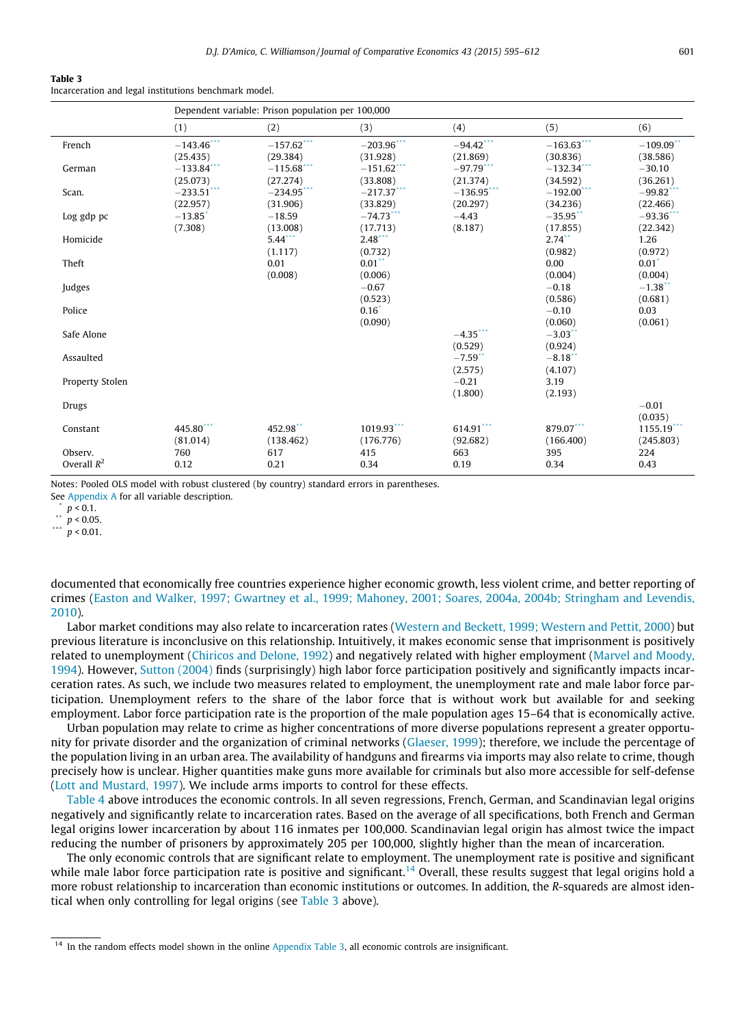<span id="page-6-0"></span>Incarceration and legal institutions benchmark model.

|                          |                                  | Dependent variable: Prison population per 100,000 |                                |                                    |                           |                                    |
|--------------------------|----------------------------------|---------------------------------------------------|--------------------------------|------------------------------------|---------------------------|------------------------------------|
|                          | (1)                              | (2)                                               | (3)                            | (4)                                | (5)                       | (6)                                |
| French                   | $-143.46$ ***<br>(25.435)        | $-157.62$ ***<br>(29.384)                         | $-203.96$ ***<br>(31.928)      | $-94.42$<br>(21.869)               | $-163.63$ ***<br>(30.836) | $-109.09$<br>(38.586)              |
| German                   | $-133.84$ ***<br>(25.073)        | $-115.68$ ***<br>(27.274)                         | $-151.62$ ***<br>(33.808)      | $-97.79$ ***<br>(21.374)           | $-132.34$ ***<br>(34.592) | $-30.10$<br>(36.261)               |
| Scan.                    | $-233.51$ ***<br>(22.957)        | $-234.95$ ***<br>(31.906)                         | $-217.37$ ***<br>(33.829)      | $-136.95$ <sup>*</sup><br>(20.297) | $-192.00$ ***<br>(34.236) | $-99.82$ <sup>**</sup><br>(22.466) |
| Log gdp pc               | $-13.85$ <sup>*</sup><br>(7.308) | $-18.59$<br>(13.008)                              | $-74.73$<br>(17.713)           | $-4.43$<br>(8.187)                 | $-35.95$ **<br>(17.855)   | $-93.36$<br>(22.342)               |
| Homicide                 |                                  | $5.44$ ***<br>(1.117)                             | 2.48<br>(0.732)                |                                    | $2.74$ **<br>(0.982)      | 1.26<br>(0.972)                    |
| Theft                    |                                  | 0.01<br>(0.008)                                   | $0.01$ *<br>(0.006)            |                                    | 0.00<br>(0.004)           | $0.01$ <sup>*</sup><br>(0.004)     |
| Judges                   |                                  |                                                   | $-0.67$<br>(0.523)             |                                    | $-0.18$<br>(0.586)        | $-1.38$<br>(0.681)                 |
| Police                   |                                  |                                                   | $0.16$ <sup>*</sup><br>(0.090) |                                    | $-0.10$<br>(0.060)        | 0.03<br>(0.061)                    |
| Safe Alone               |                                  |                                                   |                                | $-4.35$ ***<br>(0.529)             | $-3.03$<br>(0.924)        |                                    |
| Assaulted                |                                  |                                                   |                                | $-7.59$ **<br>(2.575)              | $-8.18$<br>(4.107)        |                                    |
| Property Stolen          |                                  |                                                   |                                | $-0.21$<br>(1.800)                 | 3.19<br>(2.193)           |                                    |
| Drugs                    |                                  |                                                   |                                |                                    |                           | $-0.01$<br>(0.035)                 |
| Constant                 | 445.80***<br>(81.014)            | 452.98**<br>(138.462)                             | 1019.93***<br>(176.776)        | $614.91***$<br>(92.682)            | 879.07***<br>(166.400)    | $1155.19$ ***<br>(245.803)         |
| Observ.<br>Overall $R^2$ | 760<br>0.12                      | 617<br>0.21                                       | 415<br>0.34                    | 663<br>0.19                        | 395<br>0.34               | 224<br>0.43                        |

Notes: Pooled OLS model with robust clustered (by country) standard errors in parentheses.

See [Appendix A](#page-13-0) for all variable description.

 $p < 0.1$ .

 $n < 0.05$ .

\*\*\*  $p$  < 0.01.

documented that economically free countries experience higher economic growth, less violent crime, and better reporting of crimes ([Easton and Walker, 1997; Gwartney et al., 1999; Mahoney, 2001; Soares, 2004a, 2004b; Stringham and Levendis,](#page-16-0) [2010\)](#page-16-0).

Labor market conditions may also relate to incarceration rates [\(Western and Beckett, 1999; Western and Pettit, 2000](#page-17-0)) but previous literature is inconclusive on this relationship. Intuitively, it makes economic sense that imprisonment is positively related to unemployment [\(Chiricos and Delone, 1992\)](#page-16-0) and negatively related with higher employment ([Marvel and Moody,](#page-17-0) [1994\)](#page-17-0). However, [Sutton \(2004\)](#page-17-0) finds (surprisingly) high labor force participation positively and significantly impacts incarceration rates. As such, we include two measures related to employment, the unemployment rate and male labor force participation. Unemployment refers to the share of the labor force that is without work but available for and seeking employment. Labor force participation rate is the proportion of the male population ages 15–64 that is economically active.

Urban population may relate to crime as higher concentrations of more diverse populations represent a greater opportunity for private disorder and the organization of criminal networks ([Glaeser, 1999](#page-16-0)); therefore, we include the percentage of the population living in an urban area. The availability of handguns and firearms via imports may also relate to crime, though precisely how is unclear. Higher quantities make guns more available for criminals but also more accessible for self-defense ([Lott and Mustard, 1997](#page-17-0)). We include arms imports to control for these effects.

[Table 4](#page-7-0) above introduces the economic controls. In all seven regressions, French, German, and Scandinavian legal origins negatively and significantly relate to incarceration rates. Based on the average of all specifications, both French and German legal origins lower incarceration by about 116 inmates per 100,000. Scandinavian legal origin has almost twice the impact reducing the number of prisoners by approximately 205 per 100,000, slightly higher than the mean of incarceration.

The only economic controls that are significant relate to employment. The unemployment rate is positive and significant while male labor force participation rate is positive and significant.<sup>14</sup> Overall, these results suggest that legal origins hold a more robust relationship to incarceration than economic institutions or outcomes. In addition, the R-squareds are almost identical when only controlling for legal origins (see Table 3 above).

<sup>&</sup>lt;sup>14</sup> In the random effects model shown in the online Appendix Table 3, all economic controls are insignificant.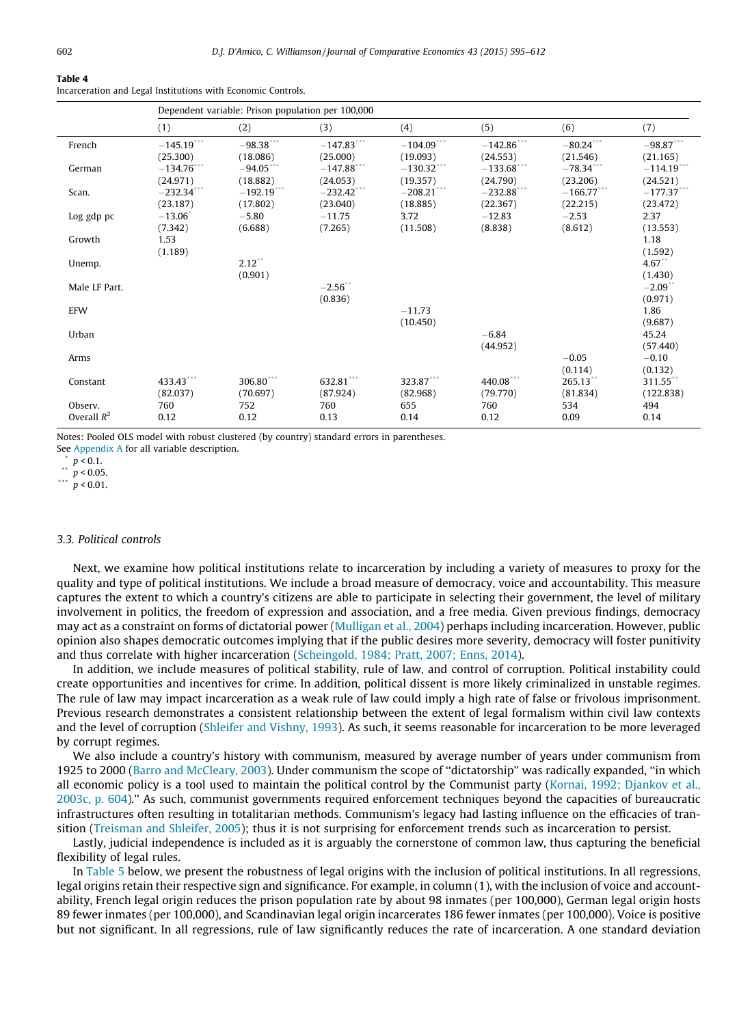<span id="page-7-0"></span>Incarceration and Legal Institutions with Economic Controls.

|               | Dependent variable: Prison population per 100,000 |               |               |               |               |                        |                           |  |
|---------------|---------------------------------------------------|---------------|---------------|---------------|---------------|------------------------|---------------------------|--|
|               | (1)                                               | (2)           | (3)           | (4)           | (5)           | (6)                    | (7)                       |  |
| French        | $-145.19$ ***                                     | $-98.38***$   | $-147.83$     | $-104.09$ *** | $-142.86$ *** | $-80.24$ ***           | $-98.87$                  |  |
|               | (25.300)                                          | (18.086)      | (25.000)      | (19.093)      | (24.553)      | (21.546)               | (21.165)                  |  |
| German        | $-134.76$                                         | $-94.05$ ***  | $-147.88$ *** | $-130.32$ *** | $-133.68$ *** | $-78.34$ <sup>**</sup> | $-114.19$ <sup>*</sup>    |  |
|               | (24.971)                                          | (18.882)      | (24.053)      | (19.357)      | (24.790)      | (23.206)               | (24.521)                  |  |
| Scan.         | $-232.34$                                         | $-192.19$ *** | $-232.42$ *** | $-208.21$     | $-232.88$ *** | $-166.77$ ***          | $-177.37$ <sup>****</sup> |  |
|               | (23.187)                                          | (17.802)      | (23.040)      | (18.885)      | (22.367)      | (22.215)               | (23.472)                  |  |
| Log gdp pc    | $-13.06$ <sup>*</sup>                             | $-5.80$       | $-11.75$      | 3.72          | $-12.83$      | $-2.53$                | 2.37                      |  |
|               | (7.342)                                           | (6.688)       | (7.265)       | (11.508)      | (8.838)       | (8.612)                | (13.553)                  |  |
| Growth        | 1.53                                              |               |               |               |               |                        | 1.18                      |  |
|               | (1.189)                                           |               |               |               |               |                        | (1.592)                   |  |
| Unemp.        |                                                   | $2.12$ **     |               |               |               |                        | $4.67$ **                 |  |
|               |                                                   | (0.901)       |               |               |               |                        | (1.430)                   |  |
| Male LF Part. |                                                   |               | $-2.56$ **    |               |               |                        | $-2.09$ **                |  |
|               |                                                   |               | (0.836)       |               |               |                        | (0.971)                   |  |
| EFW           |                                                   |               |               | $-11.73$      |               |                        | 1.86                      |  |
|               |                                                   |               |               | (10.450)      |               |                        | (9.687)                   |  |
| Urban         |                                                   |               |               |               | $-6.84$       |                        | 45.24                     |  |
|               |                                                   |               |               |               | (44.952)      |                        | (57.440)                  |  |
| Arms          |                                                   |               |               |               |               | $-0.05$                | $-0.10$                   |  |
|               |                                                   |               |               |               |               | (0.114)                | (0.132)                   |  |
| Constant      | 433.43***                                         | 306.80***     | 632.81***     | 323.87***     | 440.08***     | $265.13$ **            | 311.55**                  |  |
|               | (82.037)                                          | (70.697)      | (87.924)      | (82.968)      | (79.770)      | (81.834)               | (122.838)                 |  |
| Observ.       | 760                                               | 752           | 760           | 655           | 760           | 534                    | 494                       |  |
| Overall $R^2$ | 0.12                                              | 0.12          | 0.13          | 0.14          | 0.12          | 0.09                   | 0.14                      |  |

Notes: Pooled OLS model with robust clustered (by country) standard errors in parentheses.

See [Appendix A](#page-13-0) for all variable description.

 $p < 0.1$ .

\*\*  $p < 0.05$ .

\*\*\*  $p < 0.01$ .

## 3.3. Political controls

Next, we examine how political institutions relate to incarceration by including a variety of measures to proxy for the quality and type of political institutions. We include a broad measure of democracy, voice and accountability. This measure captures the extent to which a country's citizens are able to participate in selecting their government, the level of military involvement in politics, the freedom of expression and association, and a free media. Given previous findings, democracy may act as a constraint on forms of dictatorial power ([Mulligan et al., 2004\)](#page-17-0) perhaps including incarceration. However, public opinion also shapes democratic outcomes implying that if the public desires more severity, democracy will foster punitivity and thus correlate with higher incarceration ([Scheingold, 1984; Pratt, 2007; Enns, 2014\)](#page-17-0).

In addition, we include measures of political stability, rule of law, and control of corruption. Political instability could create opportunities and incentives for crime. In addition, political dissent is more likely criminalized in unstable regimes. The rule of law may impact incarceration as a weak rule of law could imply a high rate of false or frivolous imprisonment. Previous research demonstrates a consistent relationship between the extent of legal formalism within civil law contexts and the level of corruption ([Shleifer and Vishny, 1993\)](#page-17-0). As such, it seems reasonable for incarceration to be more leveraged by corrupt regimes.

We also include a country's history with communism, measured by average number of years under communism from 1925 to 2000 [\(Barro and McCleary, 2003](#page-16-0)). Under communism the scope of ''dictatorship'' was radically expanded, ''in which all economic policy is a tool used to maintain the political control by the Communist party [\(Kornai, 1992; Djankov et al.,](#page-16-0) [2003c, p. 604](#page-16-0)).'' As such, communist governments required enforcement techniques beyond the capacities of bureaucratic infrastructures often resulting in totalitarian methods. Communism's legacy had lasting influence on the efficacies of transition [\(Treisman and Shleifer, 2005\)](#page-17-0); thus it is not surprising for enforcement trends such as incarceration to persist.

Lastly, judicial independence is included as it is arguably the cornerstone of common law, thus capturing the beneficial flexibility of legal rules.

In [Table 5](#page-8-0) below, we present the robustness of legal origins with the inclusion of political institutions. In all regressions, legal origins retain their respective sign and significance. For example, in column (1), with the inclusion of voice and accountability, French legal origin reduces the prison population rate by about 98 inmates (per 100,000), German legal origin hosts 89 fewer inmates (per 100,000), and Scandinavian legal origin incarcerates 186 fewer inmates (per 100,000). Voice is positive but not significant. In all regressions, rule of law significantly reduces the rate of incarceration. A one standard deviation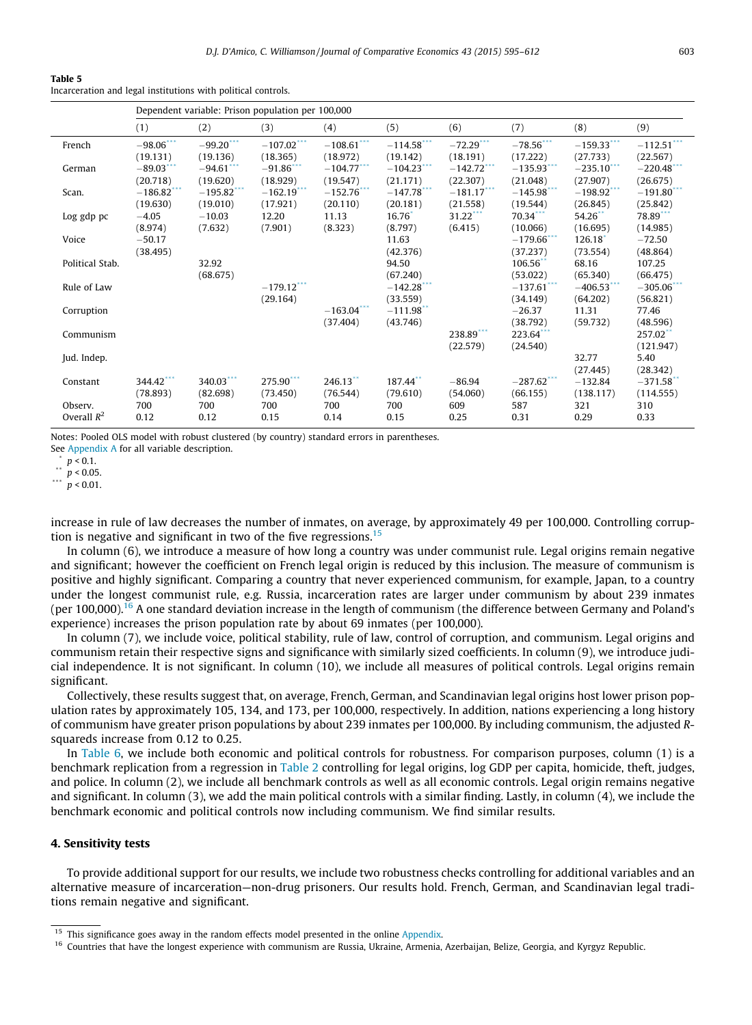<span id="page-8-0"></span>

|--|--|

Incarceration and legal institutions with political controls.

|                          |                          | Dependent variable: Prison population per 100,000 |                                      |                            |                           |                          |                           |                           |                                     |
|--------------------------|--------------------------|---------------------------------------------------|--------------------------------------|----------------------------|---------------------------|--------------------------|---------------------------|---------------------------|-------------------------------------|
|                          | (1)                      | (2)                                               | (3)                                  | (4)                        | (5)                       | (6)                      | (7)                       | (8)                       | (9)                                 |
| French                   | $-98.06$ ***<br>(19.131) | $-99.20$ ***<br>(19.136)                          | $-107.02$ ***<br>(18.365)            | $-108.61$ ***<br>(18.972)  | $-114.58$ ***<br>(19.142) | $-72.29$ ***<br>(18.191) | $-78.56***$<br>(17.222)   | $-159.33$ ***<br>(27.733) | $-112.51$ ***<br>(22.567)           |
| German                   | $-89.03$ ***<br>(20.718) | $-94.61$<br>(19.620)                              | $-91.86$<br>(18.929)                 | $-104.77$ ***<br>(19.547)  | $-104.23$ ***<br>(21.171) | $-142.72$<br>(22.307)    | $-135.93$<br>(21.048)     | $-235.10$<br>(27.907)     | $-220.48$ ***<br>(26.675)           |
| Scan.                    | $-186.82$<br>(19.630)    | $-195.82$<br>(19.010)                             | $-162.19$ <sup>***</sup><br>(17.921) | $-152.76$<br>(20.110)      | $-147.78$<br>(20.181)     | $-181.17$<br>(21.558)    | $-145.98$ ***<br>(19.544) | $-198.92$<br>(26.845)     | $-191.80$ <sup>**</sup><br>(25.842) |
| Log gdp pc               | $-4.05$<br>(8.974)       | $-10.03$<br>(7.632)                               | 12.20<br>(7.901)                     | 11.13<br>(8.323)           | $16.76*$<br>(8.797)       | $31.22***$<br>(6.415)    | 70.34***<br>(10.066)      | 54.26**<br>(16.695)       | 78.89***<br>(14.985)                |
| Voice                    | $-50.17$<br>(38.495)     |                                                   |                                      |                            | 11.63<br>(42.376)         |                          | $-179.66$<br>(37.237)     | 126.18<br>(73.554)        | $-72.50$<br>(48.864)                |
| Political Stab.          |                          | 32.92<br>(68.675)                                 |                                      |                            | 94.50<br>(67.240)         |                          | 106.56<br>(53.022)        | 68.16<br>(65.340)         | 107.25<br>(66.475)                  |
| Rule of Law              |                          |                                                   | $-179.12***$<br>(29.164)             |                            | $-142.28$ ***<br>(33.559) |                          | $-137.61$ ***<br>(34.149) | $-406.53$<br>(64.202)     | $-305.06$<br>(56.821)               |
| Corruption               |                          |                                                   |                                      | $-163.04$ ***<br>(37, 404) | $-111.98$<br>(43.746)     |                          | $-26.37$<br>(38.792)      | 11.31<br>(59.732)         | 77.46<br>(48.596)                   |
| Communism                |                          |                                                   |                                      |                            |                           | $238.89$<br>(22.579)     | 223.64<br>(24.540)        |                           | 257.02**<br>(121.947)               |
| Jud. Indep.              |                          |                                                   |                                      |                            |                           |                          |                           | 32.77<br>(27.445)         | 5.40<br>(28.342)                    |
| Constant                 | 344.42***<br>(78.893)    | $340.03***$<br>(82.698)                           | 275.90***<br>(73.450)                | 246.13<br>(76.544)         | 187.44**<br>(79.610)      | $-86.94$<br>(54.060)     | $-287.62$ ***<br>(66.155) | $-132.84$<br>(138.117)    | $-371.58$ **<br>(114.555)           |
| Observ.<br>Overall $R^2$ | 700<br>0.12              | 700<br>0.12                                       | 700<br>0.15                          | 700<br>0.14                | 700<br>0.15               | 609<br>0.25              | 587<br>0.31               | 321<br>0.29               | 310<br>0.33                         |

Notes: Pooled OLS model with robust clustered (by country) standard errors in parentheses.

See [Appendix A](#page-13-0) for all variable description.

 $\binom{p}{1}$   $p < 0.1$ .

\*\*  $p < 0.05$ .

\*\*\*  $p < 0.01$ .

increase in rule of law decreases the number of inmates, on average, by approximately 49 per 100,000. Controlling corruption is negative and significant in two of the five regressions.15

In column (6), we introduce a measure of how long a country was under communist rule. Legal origins remain negative and significant; however the coefficient on French legal origin is reduced by this inclusion. The measure of communism is positive and highly significant. Comparing a country that never experienced communism, for example, Japan, to a country under the longest communist rule, e.g. Russia, incarceration rates are larger under communism by about 239 inmates (per 100,000).<sup>16</sup> A one standard deviation increase in the length of communism (the difference between Germany and Poland's experience) increases the prison population rate by about 69 inmates (per 100,000).

In column (7), we include voice, political stability, rule of law, control of corruption, and communism. Legal origins and communism retain their respective signs and significance with similarly sized coefficients. In column (9), we introduce judicial independence. It is not significant. In column (10), we include all measures of political controls. Legal origins remain significant.

Collectively, these results suggest that, on average, French, German, and Scandinavian legal origins host lower prison population rates by approximately 105, 134, and 173, per 100,000, respectively. In addition, nations experiencing a long history of communism have greater prison populations by about 239 inmates per 100,000. By including communism, the adjusted Rsquareds increase from 0.12 to 0.25.

In [Table 6](#page-9-0), we include both economic and political controls for robustness. For comparison purposes, column (1) is a benchmark replication from a regression in [Table 2](#page-4-0) controlling for legal origins, log GDP per capita, homicide, theft, judges, and police. In column (2), we include all benchmark controls as well as all economic controls. Legal origin remains negative and significant. In column (3), we add the main political controls with a similar finding. Lastly, in column (4), we include the benchmark economic and political controls now including communism. We find similar results.

## 4. Sensitivity tests

To provide additional support for our results, we include two robustness checks controlling for additional variables and an alternative measure of incarceration—non-drug prisoners. Our results hold. French, German, and Scandinavian legal traditions remain negative and significant.

<sup>&</sup>lt;sup>15</sup> This significance goes away in the random effects model presented in the online Appendix.

<sup>&</sup>lt;sup>16</sup> Countries that have the longest experience with communism are Russia, Ukraine, Armenia, Azerbaijan, Belize, Georgia, and Kyrgyz Republic.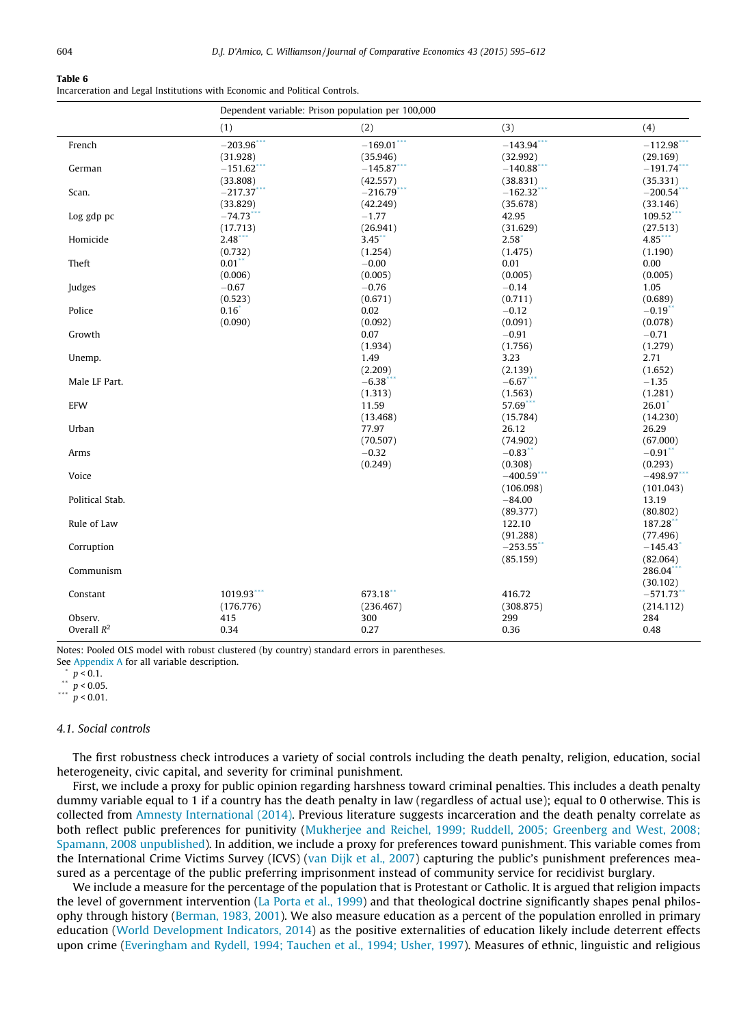<span id="page-9-0"></span>Incarceration and Legal Institutions with Economic and Political Controls.

| (1)<br>(2)<br>(3)<br>(4)<br>$-169.01***$<br>$-203.96$ ***<br>$-143.94$ <sup>***</sup><br>$-112.98$ <sup>*</sup><br>French<br>(31.928)<br>(35.946)<br>(32.992)<br>(29.169)<br>$-191.74$ <sup>*</sup><br>$-151.62$ <sup>*</sup><br>$-145.87$ **<br>$-140.88$ <sup>*</sup><br>German<br>(33.808)<br>(42.557)<br>(38.831)<br>(35.331)<br>$-216.79$ ***<br>$-200.54$<br>Scan.<br>$-217.37$<br>$-162.32$ <sup>*</sup><br>(35.678)<br>(33.829)<br>(42.249)<br>(33.146)<br>$-1.77$<br>109.52***<br>Log gdp pc<br>$-74.73$<br>42.95<br>(17.713)<br>(26.941)<br>(27.513)<br>(31.629)<br>2.48<br>$3.45$ *<br>$4.85$ **<br>Homicide<br>2.58<br>(0.732)<br>(1.254)<br>(1.475)<br>(1.190)<br>Theft<br>$0.01$ <sup>**</sup><br>$-0.00$<br>0.01<br>0.00<br>(0.006)<br>(0.005)<br>(0.005)<br>(0.005)<br>$-0.67$<br>Judges<br>$-0.76$<br>$-0.14$<br>1.05<br>(0.523)<br>(0.671)<br>(0.711)<br>(0.689)<br>$0.16*$<br>Police<br>0.02<br>$-0.12$<br>$-0.19$ **<br>(0.090)<br>(0.092)<br>(0.091)<br>(0.078)<br>Growth<br>0.07<br>$-0.91$<br>$-0.71$<br>(1.934)<br>(1.279)<br>(1.756)<br>1.49<br>3.23<br>2.71<br>Unemp.<br>(2.209)<br>(2.139)<br>(1.652)<br>$-6.67***$<br>Male LF Part.<br>$-6.38$<br>$-1.35$<br>(1.313)<br>(1.563)<br>(1.281)<br>EFW<br>57.69**<br>26.01<br>11.59<br>(14.230)<br>(13.468)<br>(15.784)<br>Urban<br>77.97<br>26.12<br>26.29<br>(70.507)<br>(74.902)<br>(67.000)<br>$-0.32$<br>$-0.91$ **<br>$-0.83$ **<br>Arms<br>(0.249)<br>(0.293)<br>(0.308)<br>Voice<br>$-498.97$ **<br>$-400.59$ <sup>*</sup><br>(106.098)<br>(101.043)<br>Political Stab.<br>$-84.00$<br>13.19<br>(80.802)<br>(89.377)<br>Rule of Law<br>187.28**<br>122.10<br>(77.496)<br>(91.288)<br>Corruption<br>$-253.55$ <sup>*</sup><br>$-145.43$ <sup>*</sup><br>(85.159)<br>(82.064)<br>286.04***<br>Communism<br>(30.102)<br>1019.93***<br>673.18**<br>Constant<br>416.72<br>$-571.73$ **<br>(176.776)<br>(308.875)<br>(236.467)<br>(214.112)<br>Observ.<br>415<br>300<br>299<br>284<br>Overall $R^2$<br>0.48<br>0.34<br>0.27<br>0.36 |  | Dependent variable: Prison population per 100,000 |  |
|--------------------------------------------------------------------------------------------------------------------------------------------------------------------------------------------------------------------------------------------------------------------------------------------------------------------------------------------------------------------------------------------------------------------------------------------------------------------------------------------------------------------------------------------------------------------------------------------------------------------------------------------------------------------------------------------------------------------------------------------------------------------------------------------------------------------------------------------------------------------------------------------------------------------------------------------------------------------------------------------------------------------------------------------------------------------------------------------------------------------------------------------------------------------------------------------------------------------------------------------------------------------------------------------------------------------------------------------------------------------------------------------------------------------------------------------------------------------------------------------------------------------------------------------------------------------------------------------------------------------------------------------------------------------------------------------------------------------------------------------------------------------------------------------------------------------------------------------------------------------------------------------------------------------------------------------------------------------------------------------------------------|--|---------------------------------------------------|--|
|                                                                                                                                                                                                                                                                                                                                                                                                                                                                                                                                                                                                                                                                                                                                                                                                                                                                                                                                                                                                                                                                                                                                                                                                                                                                                                                                                                                                                                                                                                                                                                                                                                                                                                                                                                                                                                                                                                                                                                                                              |  |                                                   |  |
|                                                                                                                                                                                                                                                                                                                                                                                                                                                                                                                                                                                                                                                                                                                                                                                                                                                                                                                                                                                                                                                                                                                                                                                                                                                                                                                                                                                                                                                                                                                                                                                                                                                                                                                                                                                                                                                                                                                                                                                                              |  |                                                   |  |
|                                                                                                                                                                                                                                                                                                                                                                                                                                                                                                                                                                                                                                                                                                                                                                                                                                                                                                                                                                                                                                                                                                                                                                                                                                                                                                                                                                                                                                                                                                                                                                                                                                                                                                                                                                                                                                                                                                                                                                                                              |  |                                                   |  |
|                                                                                                                                                                                                                                                                                                                                                                                                                                                                                                                                                                                                                                                                                                                                                                                                                                                                                                                                                                                                                                                                                                                                                                                                                                                                                                                                                                                                                                                                                                                                                                                                                                                                                                                                                                                                                                                                                                                                                                                                              |  |                                                   |  |
|                                                                                                                                                                                                                                                                                                                                                                                                                                                                                                                                                                                                                                                                                                                                                                                                                                                                                                                                                                                                                                                                                                                                                                                                                                                                                                                                                                                                                                                                                                                                                                                                                                                                                                                                                                                                                                                                                                                                                                                                              |  |                                                   |  |
|                                                                                                                                                                                                                                                                                                                                                                                                                                                                                                                                                                                                                                                                                                                                                                                                                                                                                                                                                                                                                                                                                                                                                                                                                                                                                                                                                                                                                                                                                                                                                                                                                                                                                                                                                                                                                                                                                                                                                                                                              |  |                                                   |  |
|                                                                                                                                                                                                                                                                                                                                                                                                                                                                                                                                                                                                                                                                                                                                                                                                                                                                                                                                                                                                                                                                                                                                                                                                                                                                                                                                                                                                                                                                                                                                                                                                                                                                                                                                                                                                                                                                                                                                                                                                              |  |                                                   |  |
|                                                                                                                                                                                                                                                                                                                                                                                                                                                                                                                                                                                                                                                                                                                                                                                                                                                                                                                                                                                                                                                                                                                                                                                                                                                                                                                                                                                                                                                                                                                                                                                                                                                                                                                                                                                                                                                                                                                                                                                                              |  |                                                   |  |
|                                                                                                                                                                                                                                                                                                                                                                                                                                                                                                                                                                                                                                                                                                                                                                                                                                                                                                                                                                                                                                                                                                                                                                                                                                                                                                                                                                                                                                                                                                                                                                                                                                                                                                                                                                                                                                                                                                                                                                                                              |  |                                                   |  |
|                                                                                                                                                                                                                                                                                                                                                                                                                                                                                                                                                                                                                                                                                                                                                                                                                                                                                                                                                                                                                                                                                                                                                                                                                                                                                                                                                                                                                                                                                                                                                                                                                                                                                                                                                                                                                                                                                                                                                                                                              |  |                                                   |  |
|                                                                                                                                                                                                                                                                                                                                                                                                                                                                                                                                                                                                                                                                                                                                                                                                                                                                                                                                                                                                                                                                                                                                                                                                                                                                                                                                                                                                                                                                                                                                                                                                                                                                                                                                                                                                                                                                                                                                                                                                              |  |                                                   |  |
|                                                                                                                                                                                                                                                                                                                                                                                                                                                                                                                                                                                                                                                                                                                                                                                                                                                                                                                                                                                                                                                                                                                                                                                                                                                                                                                                                                                                                                                                                                                                                                                                                                                                                                                                                                                                                                                                                                                                                                                                              |  |                                                   |  |
|                                                                                                                                                                                                                                                                                                                                                                                                                                                                                                                                                                                                                                                                                                                                                                                                                                                                                                                                                                                                                                                                                                                                                                                                                                                                                                                                                                                                                                                                                                                                                                                                                                                                                                                                                                                                                                                                                                                                                                                                              |  |                                                   |  |
|                                                                                                                                                                                                                                                                                                                                                                                                                                                                                                                                                                                                                                                                                                                                                                                                                                                                                                                                                                                                                                                                                                                                                                                                                                                                                                                                                                                                                                                                                                                                                                                                                                                                                                                                                                                                                                                                                                                                                                                                              |  |                                                   |  |
|                                                                                                                                                                                                                                                                                                                                                                                                                                                                                                                                                                                                                                                                                                                                                                                                                                                                                                                                                                                                                                                                                                                                                                                                                                                                                                                                                                                                                                                                                                                                                                                                                                                                                                                                                                                                                                                                                                                                                                                                              |  |                                                   |  |
|                                                                                                                                                                                                                                                                                                                                                                                                                                                                                                                                                                                                                                                                                                                                                                                                                                                                                                                                                                                                                                                                                                                                                                                                                                                                                                                                                                                                                                                                                                                                                                                                                                                                                                                                                                                                                                                                                                                                                                                                              |  |                                                   |  |
|                                                                                                                                                                                                                                                                                                                                                                                                                                                                                                                                                                                                                                                                                                                                                                                                                                                                                                                                                                                                                                                                                                                                                                                                                                                                                                                                                                                                                                                                                                                                                                                                                                                                                                                                                                                                                                                                                                                                                                                                              |  |                                                   |  |
|                                                                                                                                                                                                                                                                                                                                                                                                                                                                                                                                                                                                                                                                                                                                                                                                                                                                                                                                                                                                                                                                                                                                                                                                                                                                                                                                                                                                                                                                                                                                                                                                                                                                                                                                                                                                                                                                                                                                                                                                              |  |                                                   |  |
|                                                                                                                                                                                                                                                                                                                                                                                                                                                                                                                                                                                                                                                                                                                                                                                                                                                                                                                                                                                                                                                                                                                                                                                                                                                                                                                                                                                                                                                                                                                                                                                                                                                                                                                                                                                                                                                                                                                                                                                                              |  |                                                   |  |
|                                                                                                                                                                                                                                                                                                                                                                                                                                                                                                                                                                                                                                                                                                                                                                                                                                                                                                                                                                                                                                                                                                                                                                                                                                                                                                                                                                                                                                                                                                                                                                                                                                                                                                                                                                                                                                                                                                                                                                                                              |  |                                                   |  |
|                                                                                                                                                                                                                                                                                                                                                                                                                                                                                                                                                                                                                                                                                                                                                                                                                                                                                                                                                                                                                                                                                                                                                                                                                                                                                                                                                                                                                                                                                                                                                                                                                                                                                                                                                                                                                                                                                                                                                                                                              |  |                                                   |  |
|                                                                                                                                                                                                                                                                                                                                                                                                                                                                                                                                                                                                                                                                                                                                                                                                                                                                                                                                                                                                                                                                                                                                                                                                                                                                                                                                                                                                                                                                                                                                                                                                                                                                                                                                                                                                                                                                                                                                                                                                              |  |                                                   |  |
|                                                                                                                                                                                                                                                                                                                                                                                                                                                                                                                                                                                                                                                                                                                                                                                                                                                                                                                                                                                                                                                                                                                                                                                                                                                                                                                                                                                                                                                                                                                                                                                                                                                                                                                                                                                                                                                                                                                                                                                                              |  |                                                   |  |
|                                                                                                                                                                                                                                                                                                                                                                                                                                                                                                                                                                                                                                                                                                                                                                                                                                                                                                                                                                                                                                                                                                                                                                                                                                                                                                                                                                                                                                                                                                                                                                                                                                                                                                                                                                                                                                                                                                                                                                                                              |  |                                                   |  |
|                                                                                                                                                                                                                                                                                                                                                                                                                                                                                                                                                                                                                                                                                                                                                                                                                                                                                                                                                                                                                                                                                                                                                                                                                                                                                                                                                                                                                                                                                                                                                                                                                                                                                                                                                                                                                                                                                                                                                                                                              |  |                                                   |  |
|                                                                                                                                                                                                                                                                                                                                                                                                                                                                                                                                                                                                                                                                                                                                                                                                                                                                                                                                                                                                                                                                                                                                                                                                                                                                                                                                                                                                                                                                                                                                                                                                                                                                                                                                                                                                                                                                                                                                                                                                              |  |                                                   |  |
|                                                                                                                                                                                                                                                                                                                                                                                                                                                                                                                                                                                                                                                                                                                                                                                                                                                                                                                                                                                                                                                                                                                                                                                                                                                                                                                                                                                                                                                                                                                                                                                                                                                                                                                                                                                                                                                                                                                                                                                                              |  |                                                   |  |
|                                                                                                                                                                                                                                                                                                                                                                                                                                                                                                                                                                                                                                                                                                                                                                                                                                                                                                                                                                                                                                                                                                                                                                                                                                                                                                                                                                                                                                                                                                                                                                                                                                                                                                                                                                                                                                                                                                                                                                                                              |  |                                                   |  |
|                                                                                                                                                                                                                                                                                                                                                                                                                                                                                                                                                                                                                                                                                                                                                                                                                                                                                                                                                                                                                                                                                                                                                                                                                                                                                                                                                                                                                                                                                                                                                                                                                                                                                                                                                                                                                                                                                                                                                                                                              |  |                                                   |  |
|                                                                                                                                                                                                                                                                                                                                                                                                                                                                                                                                                                                                                                                                                                                                                                                                                                                                                                                                                                                                                                                                                                                                                                                                                                                                                                                                                                                                                                                                                                                                                                                                                                                                                                                                                                                                                                                                                                                                                                                                              |  |                                                   |  |
|                                                                                                                                                                                                                                                                                                                                                                                                                                                                                                                                                                                                                                                                                                                                                                                                                                                                                                                                                                                                                                                                                                                                                                                                                                                                                                                                                                                                                                                                                                                                                                                                                                                                                                                                                                                                                                                                                                                                                                                                              |  |                                                   |  |
|                                                                                                                                                                                                                                                                                                                                                                                                                                                                                                                                                                                                                                                                                                                                                                                                                                                                                                                                                                                                                                                                                                                                                                                                                                                                                                                                                                                                                                                                                                                                                                                                                                                                                                                                                                                                                                                                                                                                                                                                              |  |                                                   |  |
|                                                                                                                                                                                                                                                                                                                                                                                                                                                                                                                                                                                                                                                                                                                                                                                                                                                                                                                                                                                                                                                                                                                                                                                                                                                                                                                                                                                                                                                                                                                                                                                                                                                                                                                                                                                                                                                                                                                                                                                                              |  |                                                   |  |
|                                                                                                                                                                                                                                                                                                                                                                                                                                                                                                                                                                                                                                                                                                                                                                                                                                                                                                                                                                                                                                                                                                                                                                                                                                                                                                                                                                                                                                                                                                                                                                                                                                                                                                                                                                                                                                                                                                                                                                                                              |  |                                                   |  |
|                                                                                                                                                                                                                                                                                                                                                                                                                                                                                                                                                                                                                                                                                                                                                                                                                                                                                                                                                                                                                                                                                                                                                                                                                                                                                                                                                                                                                                                                                                                                                                                                                                                                                                                                                                                                                                                                                                                                                                                                              |  |                                                   |  |
|                                                                                                                                                                                                                                                                                                                                                                                                                                                                                                                                                                                                                                                                                                                                                                                                                                                                                                                                                                                                                                                                                                                                                                                                                                                                                                                                                                                                                                                                                                                                                                                                                                                                                                                                                                                                                                                                                                                                                                                                              |  |                                                   |  |
|                                                                                                                                                                                                                                                                                                                                                                                                                                                                                                                                                                                                                                                                                                                                                                                                                                                                                                                                                                                                                                                                                                                                                                                                                                                                                                                                                                                                                                                                                                                                                                                                                                                                                                                                                                                                                                                                                                                                                                                                              |  |                                                   |  |
|                                                                                                                                                                                                                                                                                                                                                                                                                                                                                                                                                                                                                                                                                                                                                                                                                                                                                                                                                                                                                                                                                                                                                                                                                                                                                                                                                                                                                                                                                                                                                                                                                                                                                                                                                                                                                                                                                                                                                                                                              |  |                                                   |  |
|                                                                                                                                                                                                                                                                                                                                                                                                                                                                                                                                                                                                                                                                                                                                                                                                                                                                                                                                                                                                                                                                                                                                                                                                                                                                                                                                                                                                                                                                                                                                                                                                                                                                                                                                                                                                                                                                                                                                                                                                              |  |                                                   |  |
|                                                                                                                                                                                                                                                                                                                                                                                                                                                                                                                                                                                                                                                                                                                                                                                                                                                                                                                                                                                                                                                                                                                                                                                                                                                                                                                                                                                                                                                                                                                                                                                                                                                                                                                                                                                                                                                                                                                                                                                                              |  |                                                   |  |
|                                                                                                                                                                                                                                                                                                                                                                                                                                                                                                                                                                                                                                                                                                                                                                                                                                                                                                                                                                                                                                                                                                                                                                                                                                                                                                                                                                                                                                                                                                                                                                                                                                                                                                                                                                                                                                                                                                                                                                                                              |  |                                                   |  |
|                                                                                                                                                                                                                                                                                                                                                                                                                                                                                                                                                                                                                                                                                                                                                                                                                                                                                                                                                                                                                                                                                                                                                                                                                                                                                                                                                                                                                                                                                                                                                                                                                                                                                                                                                                                                                                                                                                                                                                                                              |  |                                                   |  |
|                                                                                                                                                                                                                                                                                                                                                                                                                                                                                                                                                                                                                                                                                                                                                                                                                                                                                                                                                                                                                                                                                                                                                                                                                                                                                                                                                                                                                                                                                                                                                                                                                                                                                                                                                                                                                                                                                                                                                                                                              |  |                                                   |  |

Notes: Pooled OLS model with robust clustered (by country) standard errors in parentheses.

See [Appendix A](#page-13-0) for all variable description.

 $\binom{p}{1}$  p < 0.1.

\*\*  $p < 0.05$ .

 $p < 0.01$ .

### 4.1. Social controls

The first robustness check introduces a variety of social controls including the death penalty, religion, education, social heterogeneity, civic capital, and severity for criminal punishment.

First, we include a proxy for public opinion regarding harshness toward criminal penalties. This includes a death penalty dummy variable equal to 1 if a country has the death penalty in law (regardless of actual use); equal to 0 otherwise. This is collected from [Amnesty International \(2014\)](#page-16-0). Previous literature suggests incarceration and the death penalty correlate as both reflect public preferences for punitivity [\(Mukherjee and Reichel, 1999; Ruddell, 2005; Greenberg and West, 2008;](#page-17-0) [Spamann, 2008 unpublished](#page-17-0)). In addition, we include a proxy for preferences toward punishment. This variable comes from the International Crime Victims Survey (ICVS) [\(van Dijk et al., 2007\)](#page-17-0) capturing the public's punishment preferences measured as a percentage of the public preferring imprisonment instead of community service for recidivist burglary.

We include a measure for the percentage of the population that is Protestant or Catholic. It is argued that religion impacts the level of government intervention [\(La Porta et al., 1999\)](#page-17-0) and that theological doctrine significantly shapes penal philosophy through history [\(Berman, 1983, 2001](#page-16-0)). We also measure education as a percent of the population enrolled in primary education [\(World Development Indicators, 2014\)](#page-17-0) as the positive externalities of education likely include deterrent effects upon crime [\(Everingham and Rydell, 1994; Tauchen et al., 1994; Usher, 1997](#page-16-0)). Measures of ethnic, linguistic and religious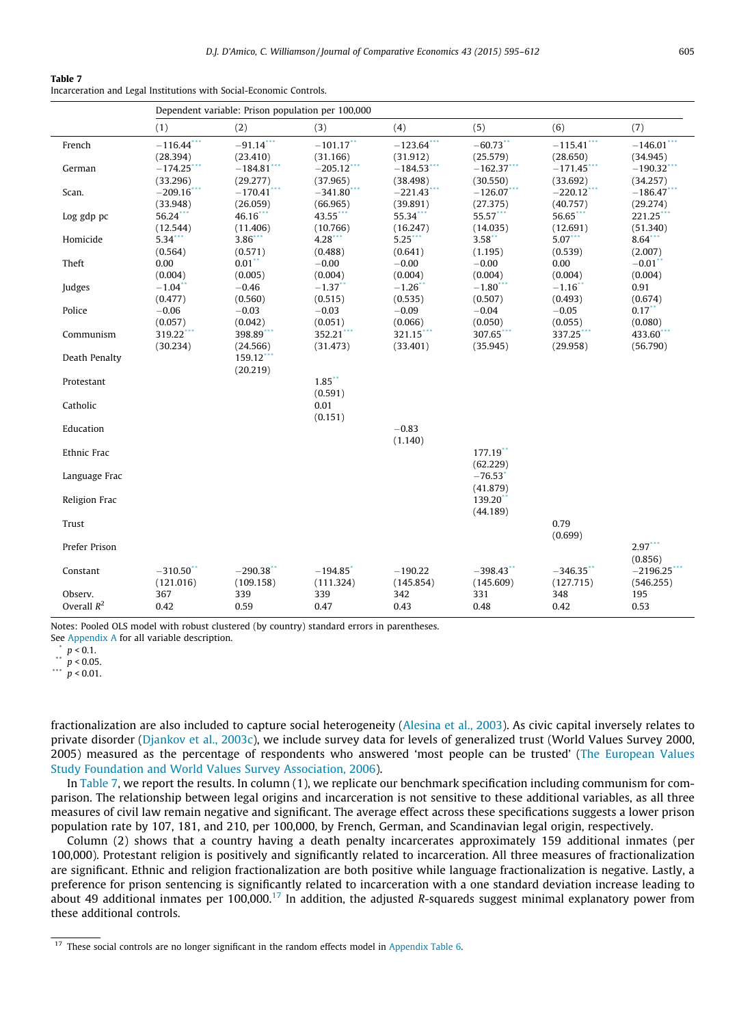|--|--|

Incarceration and Legal Institutions with Social-Economic Controls.

|               | Dependent variable: Prison population per 100,000 |                          |                        |                        |                                   |                        |                        |  |  |
|---------------|---------------------------------------------------|--------------------------|------------------------|------------------------|-----------------------------------|------------------------|------------------------|--|--|
|               | (1)                                               | (2)                      | (3)                    | (4)                    | (5)                               | (6)                    | (7)                    |  |  |
| French        | $-116.44$ **                                      | $-91.14$ ***             | $-101.17$ **           | $-123.64$ ***          | $-60.73$ **                       | $-115.41$ ***          | $-146.01$ <sup>*</sup> |  |  |
|               | (28.394)                                          | (23.410)                 | (31.166)               | (31.912)               | (25.579)                          | (28.650)               | (34.945)               |  |  |
| German        | $-174.25$ <sup>*</sup>                            | $-184.81$ <sup>*</sup>   | $-205.12$ **           | $-184.53$ <sup>*</sup> | $-162.37$                         | $-171.45$ <sup>*</sup> | $-190.32$              |  |  |
|               | (33.296)                                          | (29.277)                 | (37.965)               | (38.498)               | (30.550)                          | (33.692)               | (34.257)               |  |  |
| Scan.         | $-209.16$ <sup>*</sup>                            | $-170.41$ <sup>*</sup>   | $-341.80$ <sup>*</sup> | $-221.43$ <sup>*</sup> | $-126.07$ <sup>*</sup>            | $-220.12$ <sup>*</sup> | $-186.47$              |  |  |
|               | (33.948)                                          | (26.059)                 | (66.965)               | (39.891)               | (27.375)                          | (40.757)               | (29.274)               |  |  |
| Log gdp pc    | $56.24***$                                        | 46.16**                  | 43.55***               | 55.34***               | 55.57***                          | 56.65**                | $221.25$ ***           |  |  |
|               | (12.544)                                          | (11.406)                 | (10.766)               | (16.247)               | (14.035)                          | (12.691)               | (51.340)               |  |  |
| Homicide      | $5.34$ ***                                        | $3.86$ <sup>**</sup>     | 4.28                   | $5.25$ ***             | $3.58$ **                         | $5.07***$              | $8.64$ ***             |  |  |
|               | (0.564)                                           | (0.571)                  | (0.488)                | (0.641)                | (1.195)                           | (0.539)                | (2.007)                |  |  |
| Theft         | 0.00                                              | $0.01$ **                | $-0.00$                | $-0.00$                | $-0.00$                           | 0.00                   | $-0.01$ <sup>**</sup>  |  |  |
|               | (0.004)                                           | (0.005)                  | (0.004)                | (0.004)                | (0.004)                           | (0.004)                | (0.004)                |  |  |
| Judges        | $-1.04$ <sup>**</sup>                             | $-0.46$                  | $-1.37$ **             | $-1.26$ *              | $-1.80$ ***                       | $-1.16$ **             | 0.91                   |  |  |
|               | (0.477)                                           | (0.560)                  | (0.515)                | (0.535)                | (0.507)                           | (0.493)                | (0.674)                |  |  |
| Police        | $-0.06$                                           | $-0.03$                  | $-0.03$                | $-0.09$                | $-0.04$                           | $-0.05$                | $0.17***$              |  |  |
|               | (0.057)                                           | (0.042)                  | (0.051)                | (0.066)                | (0.050)                           | (0.055)                | (0.080)                |  |  |
| Communism     | 319.22***                                         | 398.89***                | 352.21***              | 321.15                 | 307.65***                         | 337.25***              | 433.60**               |  |  |
|               | (30.234)                                          | (24.566)                 | (31.473)               | (33.401)               | (35.945)                          | (29.958)               | (56.790)               |  |  |
| Death Penalty |                                                   | $159.12$ ***<br>(20.219) |                        |                        |                                   |                        |                        |  |  |
| Protestant    |                                                   |                          | 1.85<br>(0.591)        |                        |                                   |                        |                        |  |  |
| Catholic      |                                                   |                          | 0.01<br>(0.151)        |                        |                                   |                        |                        |  |  |
| Education     |                                                   |                          |                        | $-0.83$<br>(1.140)     |                                   |                        |                        |  |  |
| Ethnic Frac   |                                                   |                          |                        |                        | $177.19$ **<br>(62.229)           |                        |                        |  |  |
| Language Frac |                                                   |                          |                        |                        | $-76.53$ <sup>*</sup><br>(41.879) |                        |                        |  |  |
| Religion Frac |                                                   |                          |                        |                        | 139.20<br>(44.189)                |                        |                        |  |  |
| Trust         |                                                   |                          |                        |                        |                                   | 0.79<br>(0.699)        |                        |  |  |
| Prefer Prison |                                                   |                          |                        |                        |                                   |                        | $2.97***$<br>(0.856)   |  |  |
| Constant      | $-310.50$ **                                      | $-290.38$ **             | $-194.85$ <sup>*</sup> | $-190.22$              | $-398.43$ **                      | $-346.35$ **           | $-2196.25$             |  |  |
|               | (121.016)                                         | (109.158)                | (111.324)              | (145.854)              | (145.609)                         | (127.715)              | (546.255)              |  |  |
| Observ.       | 367                                               | 339                      | 339                    | 342                    | 331                               | 348                    | 195                    |  |  |
| Overall $R^2$ | 0.42                                              | 0.59                     | 0.47                   | 0.43                   | 0.48                              | 0.42                   | 0.53                   |  |  |

Notes: Pooled OLS model with robust clustered (by country) standard errors in parentheses.

See [Appendix A](#page-13-0) for all variable description.

 $p < 0.1$ .

 $p < 0.05$ .

\*\*\*  $\stackrel{P}{p}$  < 0.01.

fractionalization are also included to capture social heterogeneity ([Alesina et al., 2003\)](#page-16-0). As civic capital inversely relates to private disorder [\(Djankov et al., 2003c](#page-16-0)), we include survey data for levels of generalized trust (World Values Survey 2000, 2005) measured as the percentage of respondents who answered 'most people can be trusted' ([The European Values](#page-17-0) [Study Foundation and World Values Survey Association, 2006](#page-17-0)).

In Table 7, we report the results. In column (1), we replicate our benchmark specification including communism for comparison. The relationship between legal origins and incarceration is not sensitive to these additional variables, as all three measures of civil law remain negative and significant. The average effect across these specifications suggests a lower prison population rate by 107, 181, and 210, per 100,000, by French, German, and Scandinavian legal origin, respectively.

Column (2) shows that a country having a death penalty incarcerates approximately 159 additional inmates (per 100,000). Protestant religion is positively and significantly related to incarceration. All three measures of fractionalization are significant. Ethnic and religion fractionalization are both positive while language fractionalization is negative. Lastly, a preference for prison sentencing is significantly related to incarceration with a one standard deviation increase leading to about 49 additional inmates per  $100,000$ .<sup>17</sup> In addition, the adjusted R-squareds suggest minimal explanatory power from these additional controls.

<sup>&</sup>lt;sup>17</sup> These social controls are no longer significant in the random effects model in Appendix Table 6.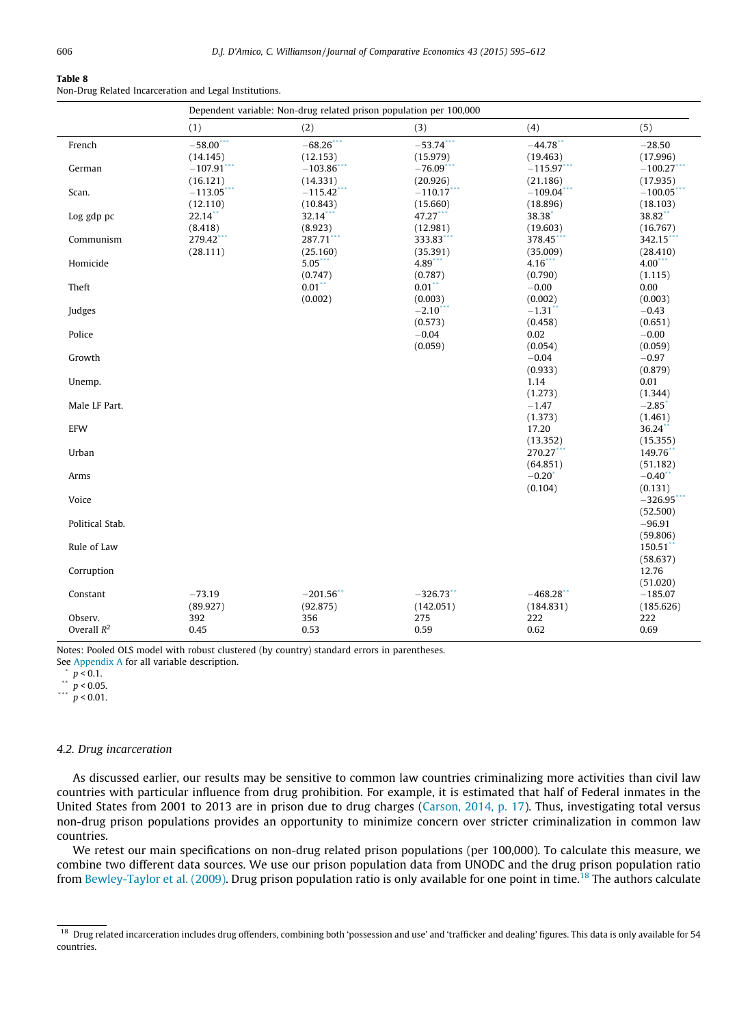<span id="page-11-0"></span>Non-Drug Related Incarceration and Legal Institutions.

|                 | Dependent variable: Non-drug related prison population per 100,000 |                        |              |                         |                       |  |  |  |
|-----------------|--------------------------------------------------------------------|------------------------|--------------|-------------------------|-----------------------|--|--|--|
|                 | (1)                                                                | (2)                    | (3)          | (4)                     | (5)                   |  |  |  |
| French          | $-58.00$ ***                                                       | $-68.26$ ***           | $-53.74$ *** | $-44.78$ **             | $-28.50$              |  |  |  |
|                 | (14.145)                                                           | (12.153)               | (15.979)     | (19.463)                | (17.996)              |  |  |  |
| German          | $-107.91$                                                          | $-103.86$ <sup>*</sup> | $-76.09$     | $-115.97$ **            | $-100.27$             |  |  |  |
|                 | (16.121)                                                           | (14.331)               | (20.926)     | (21.186)                | (17.935)              |  |  |  |
| Scan.           | $-113.05$ **                                                       | $-115.42$              | $-110.17$ ** | $-109.04$               | $-100.05$             |  |  |  |
|                 | (12.110)                                                           | (10.843)               | (15.660)     | (18.896)                | (18.103)              |  |  |  |
| Log gdp pc      | $22.14$ **                                                         | 32.14***               | 47.27***     | 38.38                   | 38.82**               |  |  |  |
|                 | (8.418)                                                            | (8.923)                | (12.981)     | (19.603)                | (16.767)              |  |  |  |
| Communism       | 279.42                                                             | 287.71***              | 333.83       | 378.45                  | 342.15                |  |  |  |
|                 | (28.111)                                                           | (25.160)               | (35.391)     | (35.009)                | (28.410)              |  |  |  |
| Homicide        |                                                                    | 5.05                   | 4.89         | $4.16$ ***              | $4.00$ <sup>***</sup> |  |  |  |
|                 |                                                                    | (0.747)                | (0.787)      | (0.790)                 | (1.115)               |  |  |  |
| Theft           |                                                                    | $0.01$ **              | $0.01$ **    | $-0.00$                 | 0.00                  |  |  |  |
|                 |                                                                    | (0.002)                | (0.003)      | (0.002)                 | (0.003)               |  |  |  |
| Judges          |                                                                    |                        | $-2.10$      | $-1.31$ <sup>**</sup>   | $-0.43$               |  |  |  |
|                 |                                                                    |                        | (0.573)      | (0.458)                 | (0.651)               |  |  |  |
| Police          |                                                                    |                        | $-0.04$      | 0.02                    | $-0.00$               |  |  |  |
|                 |                                                                    |                        | (0.059)      | (0.054)                 | (0.059)               |  |  |  |
| Growth          |                                                                    |                        |              | $-0.04$                 | $-0.97$               |  |  |  |
|                 |                                                                    |                        |              | (0.933)                 | (0.879)               |  |  |  |
| Unemp.          |                                                                    |                        |              | 1.14                    | 0.01                  |  |  |  |
|                 |                                                                    |                        |              | (1.273)                 | (1.344)               |  |  |  |
| Male LF Part.   |                                                                    |                        |              | $-1.47$                 | $-2.85$ <sup>*</sup>  |  |  |  |
| EFW             |                                                                    |                        |              | (1.373)<br>17.20        | (1.461)<br>36.24**    |  |  |  |
|                 |                                                                    |                        |              |                         |                       |  |  |  |
| Urban           |                                                                    |                        |              | (13.352)<br>$270.27$ ** | (15.355)<br>149.76    |  |  |  |
|                 |                                                                    |                        |              | (64.851)                | (51.182)              |  |  |  |
| Arms            |                                                                    |                        |              | $-0.20$ <sup>*</sup>    | $-0.40$               |  |  |  |
|                 |                                                                    |                        |              | (0.104)                 | (0.131)               |  |  |  |
| Voice           |                                                                    |                        |              |                         | $-326.95$             |  |  |  |
|                 |                                                                    |                        |              |                         | (52.500)              |  |  |  |
| Political Stab. |                                                                    |                        |              |                         | $-96.91$              |  |  |  |
|                 |                                                                    |                        |              |                         | (59.806)              |  |  |  |
| Rule of Law     |                                                                    |                        |              |                         | 150.51                |  |  |  |
|                 |                                                                    |                        |              |                         | (58.637)              |  |  |  |
| Corruption      |                                                                    |                        |              |                         | 12.76                 |  |  |  |
|                 |                                                                    |                        |              |                         | (51.020)              |  |  |  |
| Constant        | $-73.19$                                                           | $-201.56$ **           | $-326.73$ ** | $-468.28$ **            | $-185.07$             |  |  |  |
|                 | (89.927)                                                           | (92.875)               | (142.051)    | (184.831)               | (185.626)             |  |  |  |
| Observ.         | 392                                                                | 356                    | 275          | 222                     | 222                   |  |  |  |
| Overall $R^2$   | 0.45                                                               | 0.53                   | 0.59         | 0.62                    | 0.69                  |  |  |  |
|                 |                                                                    |                        |              |                         |                       |  |  |  |

Notes: Pooled OLS model with robust clustered (by country) standard errors in parentheses.

See [Appendix A](#page-13-0) for all variable description.

 $\binom{p}{1}$   $p < 0.1$ .

\*\*  $p < 0.05$ .

 $p < 0.01$ .

## 4.2. Drug incarceration

As discussed earlier, our results may be sensitive to common law countries criminalizing more activities than civil law countries with particular influence from drug prohibition. For example, it is estimated that half of Federal inmates in the United States from 2001 to 2013 are in prison due to drug charges [\(Carson, 2014, p. 17\)](#page-16-0). Thus, investigating total versus non-drug prison populations provides an opportunity to minimize concern over stricter criminalization in common law countries.

We retest our main specifications on non-drug related prison populations (per 100,000). To calculate this measure, we combine two different data sources. We use our prison population data from UNODC and the drug prison population ratio from [Bewley-Taylor et al. \(2009\)](#page-16-0). Drug prison population ratio is only available for one point in time.<sup>18</sup> The authors calculate

<sup>&</sup>lt;sup>18</sup> Drug related incarceration includes drug offenders, combining both 'possession and use' and 'trafficker and dealing' figures. This data is only available for 54 countries.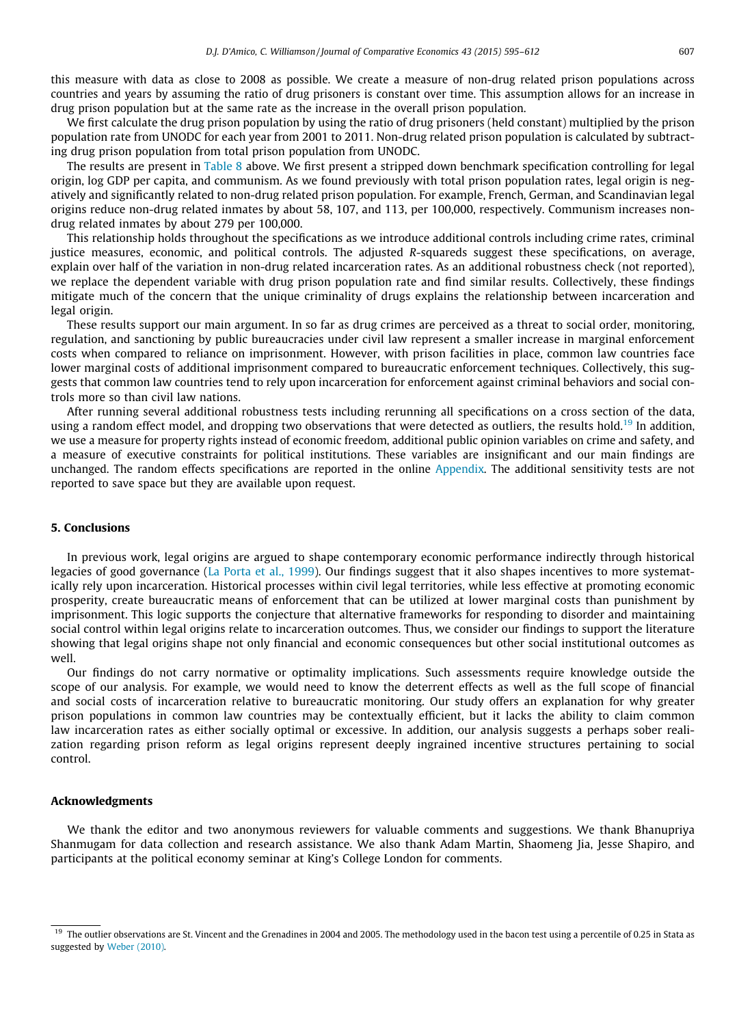this measure with data as close to 2008 as possible. We create a measure of non-drug related prison populations across countries and years by assuming the ratio of drug prisoners is constant over time. This assumption allows for an increase in drug prison population but at the same rate as the increase in the overall prison population.

We first calculate the drug prison population by using the ratio of drug prisoners (held constant) multiplied by the prison population rate from UNODC for each year from 2001 to 2011. Non-drug related prison population is calculated by subtracting drug prison population from total prison population from UNODC.

The results are present in [Table 8](#page-11-0) above. We first present a stripped down benchmark specification controlling for legal origin, log GDP per capita, and communism. As we found previously with total prison population rates, legal origin is negatively and significantly related to non-drug related prison population. For example, French, German, and Scandinavian legal origins reduce non-drug related inmates by about 58, 107, and 113, per 100,000, respectively. Communism increases nondrug related inmates by about 279 per 100,000.

This relationship holds throughout the specifications as we introduce additional controls including crime rates, criminal justice measures, economic, and political controls. The adjusted R-squareds suggest these specifications, on average, explain over half of the variation in non-drug related incarceration rates. As an additional robustness check (not reported), we replace the dependent variable with drug prison population rate and find similar results. Collectively, these findings mitigate much of the concern that the unique criminality of drugs explains the relationship between incarceration and legal origin.

These results support our main argument. In so far as drug crimes are perceived as a threat to social order, monitoring, regulation, and sanctioning by public bureaucracies under civil law represent a smaller increase in marginal enforcement costs when compared to reliance on imprisonment. However, with prison facilities in place, common law countries face lower marginal costs of additional imprisonment compared to bureaucratic enforcement techniques. Collectively, this suggests that common law countries tend to rely upon incarceration for enforcement against criminal behaviors and social controls more so than civil law nations.

After running several additional robustness tests including rerunning all specifications on a cross section of the data, using a random effect model, and dropping two observations that were detected as outliers, the results hold.<sup>19</sup> In addition, we use a measure for property rights instead of economic freedom, additional public opinion variables on crime and safety, and a measure of executive constraints for political institutions. These variables are insignificant and our main findings are unchanged. The random effects specifications are reported in the online Appendix. The additional sensitivity tests are not reported to save space but they are available upon request.

#### 5. Conclusions

In previous work, legal origins are argued to shape contemporary economic performance indirectly through historical legacies of good governance ([La Porta et al., 1999\)](#page-17-0). Our findings suggest that it also shapes incentives to more systematically rely upon incarceration. Historical processes within civil legal territories, while less effective at promoting economic prosperity, create bureaucratic means of enforcement that can be utilized at lower marginal costs than punishment by imprisonment. This logic supports the conjecture that alternative frameworks for responding to disorder and maintaining social control within legal origins relate to incarceration outcomes. Thus, we consider our findings to support the literature showing that legal origins shape not only financial and economic consequences but other social institutional outcomes as well.

Our findings do not carry normative or optimality implications. Such assessments require knowledge outside the scope of our analysis. For example, we would need to know the deterrent effects as well as the full scope of financial and social costs of incarceration relative to bureaucratic monitoring. Our study offers an explanation for why greater prison populations in common law countries may be contextually efficient, but it lacks the ability to claim common law incarceration rates as either socially optimal or excessive. In addition, our analysis suggests a perhaps sober realization regarding prison reform as legal origins represent deeply ingrained incentive structures pertaining to social control.

## Acknowledgments

We thank the editor and two anonymous reviewers for valuable comments and suggestions. We thank Bhanupriya Shanmugam for data collection and research assistance. We also thank Adam Martin, Shaomeng Jia, Jesse Shapiro, and participants at the political economy seminar at King's College London for comments.

<sup>&</sup>lt;sup>19</sup> The outlier observations are St. Vincent and the Grenadines in 2004 and 2005. The methodology used in the bacon test using a percentile of 0.25 in Stata as suggested by [Weber \(2010\).](#page-17-0)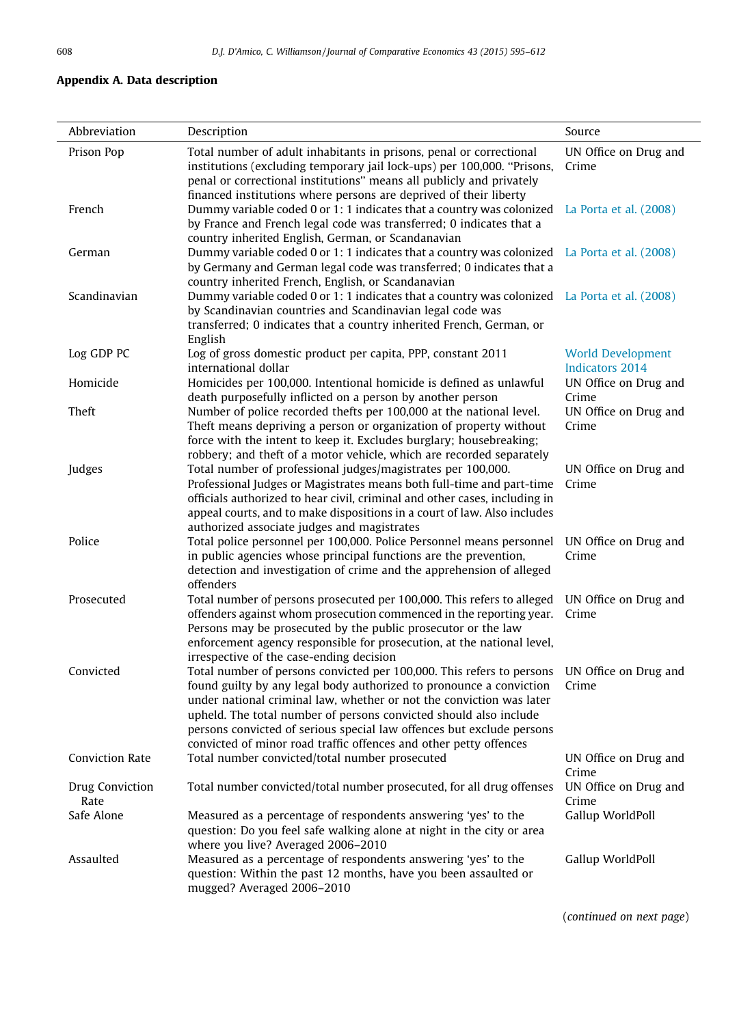## <span id="page-13-0"></span>Appendix A. Data description

| Abbreviation            | Description                                                                                                                                                                                                                                                                                                                                                                                                                             | Source                                             |
|-------------------------|-----------------------------------------------------------------------------------------------------------------------------------------------------------------------------------------------------------------------------------------------------------------------------------------------------------------------------------------------------------------------------------------------------------------------------------------|----------------------------------------------------|
| Prison Pop              | Total number of adult inhabitants in prisons, penal or correctional<br>institutions (excluding temporary jail lock-ups) per 100,000. "Prisons,<br>penal or correctional institutions" means all publicly and privately<br>financed institutions where persons are deprived of their liberty                                                                                                                                             | UN Office on Drug and<br>Crime                     |
| French                  | Dummy variable coded 0 or 1: 1 indicates that a country was colonized<br>by France and French legal code was transferred; 0 indicates that a<br>country inherited English, German, or Scandanavian                                                                                                                                                                                                                                      | La Porta et al. (2008)                             |
| German                  | Dummy variable coded 0 or 1: 1 indicates that a country was colonized<br>by Germany and German legal code was transferred; 0 indicates that a<br>country inherited French, English, or Scandanavian                                                                                                                                                                                                                                     | La Porta et al. (2008)                             |
| Scandinavian            | Dummy variable coded 0 or 1: 1 indicates that a country was colonized La Porta et al. (2008)<br>by Scandinavian countries and Scandinavian legal code was<br>transferred; 0 indicates that a country inherited French, German, or<br>English                                                                                                                                                                                            |                                                    |
| Log GDP PC              | Log of gross domestic product per capita, PPP, constant 2011<br>international dollar                                                                                                                                                                                                                                                                                                                                                    | <b>World Development</b><br><b>Indicators 2014</b> |
| Homicide                | Homicides per 100,000. Intentional homicide is defined as unlawful<br>death purposefully inflicted on a person by another person                                                                                                                                                                                                                                                                                                        | UN Office on Drug and<br>Crime                     |
| Theft                   | Number of police recorded thefts per 100,000 at the national level.<br>Theft means depriving a person or organization of property without<br>force with the intent to keep it. Excludes burglary; housebreaking;<br>robbery; and theft of a motor vehicle, which are recorded separately                                                                                                                                                | UN Office on Drug and<br>Crime                     |
| Judges                  | Total number of professional judges/magistrates per 100,000.<br>Professional Judges or Magistrates means both full-time and part-time<br>officials authorized to hear civil, criminal and other cases, including in<br>appeal courts, and to make dispositions in a court of law. Also includes<br>authorized associate judges and magistrates                                                                                          | UN Office on Drug and<br>Crime                     |
| Police                  | Total police personnel per 100,000. Police Personnel means personnel<br>in public agencies whose principal functions are the prevention,<br>detection and investigation of crime and the apprehension of alleged<br>offenders                                                                                                                                                                                                           | UN Office on Drug and<br>Crime                     |
| Prosecuted              | Total number of persons prosecuted per 100,000. This refers to alleged<br>offenders against whom prosecution commenced in the reporting year.<br>Persons may be prosecuted by the public prosecutor or the law<br>enforcement agency responsible for prosecution, at the national level,<br>irrespective of the case-ending decision                                                                                                    | UN Office on Drug and<br>Crime                     |
| Convicted               | Total number of persons convicted per 100,000. This refers to persons<br>found guilty by any legal body authorized to pronounce a conviction<br>under national criminal law, whether or not the conviction was later<br>upheld. The total number of persons convicted should also include<br>persons convicted of serious special law offences but exclude persons<br>convicted of minor road traffic offences and other petty offences | UN Office on Drug and<br>Crime                     |
| <b>Conviction Rate</b>  | Total number convicted/total number prosecuted                                                                                                                                                                                                                                                                                                                                                                                          | UN Office on Drug and<br>Crime                     |
| Drug Conviction<br>Rate | Total number convicted/total number prosecuted, for all drug offenses                                                                                                                                                                                                                                                                                                                                                                   | UN Office on Drug and<br>Crime                     |
| Safe Alone              | Measured as a percentage of respondents answering 'yes' to the<br>question: Do you feel safe walking alone at night in the city or area<br>where you live? Averaged 2006-2010                                                                                                                                                                                                                                                           | Gallup WorldPoll                                   |
| Assaulted               | Measured as a percentage of respondents answering 'yes' to the<br>question: Within the past 12 months, have you been assaulted or<br>mugged? Averaged 2006-2010                                                                                                                                                                                                                                                                         | Gallup WorldPoll                                   |

(continued on next page)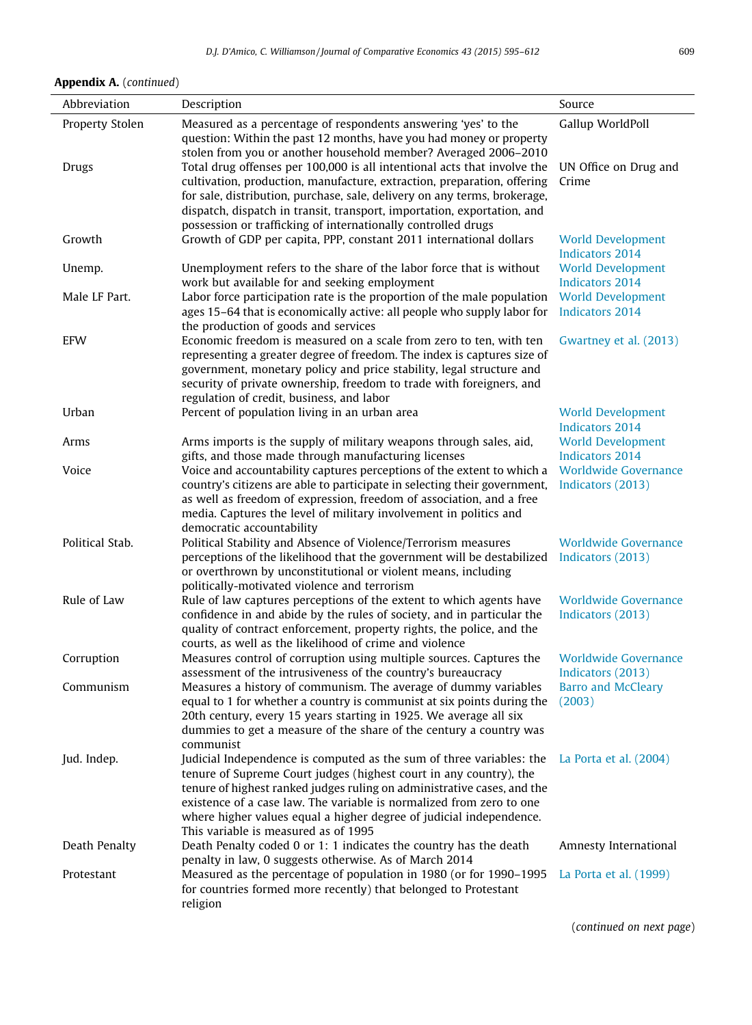## Appendix A. (continued)

| Abbreviation    | Description                                                                                                                                                                                                                                                                                                                                                                                                  | Source                                             |
|-----------------|--------------------------------------------------------------------------------------------------------------------------------------------------------------------------------------------------------------------------------------------------------------------------------------------------------------------------------------------------------------------------------------------------------------|----------------------------------------------------|
| Property Stolen | Measured as a percentage of respondents answering 'yes' to the<br>question: Within the past 12 months, have you had money or property<br>stolen from you or another household member? Averaged 2006-2010                                                                                                                                                                                                     | Gallup WorldPoll                                   |
| Drugs           | Total drug offenses per 100,000 is all intentional acts that involve the<br>cultivation, production, manufacture, extraction, preparation, offering<br>for sale, distribution, purchase, sale, delivery on any terms, brokerage,<br>dispatch, dispatch in transit, transport, importation, exportation, and<br>possession or trafficking of internationally controlled drugs                                 | UN Office on Drug and<br>Crime                     |
| Growth          | Growth of GDP per capita, PPP, constant 2011 international dollars                                                                                                                                                                                                                                                                                                                                           | <b>World Development</b><br><b>Indicators 2014</b> |
| Unemp.          | Unemployment refers to the share of the labor force that is without<br>work but available for and seeking employment                                                                                                                                                                                                                                                                                         | <b>World Development</b><br><b>Indicators 2014</b> |
| Male LF Part.   | Labor force participation rate is the proportion of the male population<br>ages 15-64 that is economically active: all people who supply labor for<br>the production of goods and services                                                                                                                                                                                                                   | <b>World Development</b><br><b>Indicators 2014</b> |
| <b>EFW</b>      | Economic freedom is measured on a scale from zero to ten, with ten<br>representing a greater degree of freedom. The index is captures size of<br>government, monetary policy and price stability, legal structure and<br>security of private ownership, freedom to trade with foreigners, and<br>regulation of credit, business, and labor                                                                   | Gwartney et al. (2013)                             |
| Urban           | Percent of population living in an urban area                                                                                                                                                                                                                                                                                                                                                                | <b>World Development</b><br><b>Indicators 2014</b> |
| Arms            | Arms imports is the supply of military weapons through sales, aid,<br>gifts, and those made through manufacturing licenses                                                                                                                                                                                                                                                                                   | <b>World Development</b><br><b>Indicators 2014</b> |
| Voice           | Voice and accountability captures perceptions of the extent to which a<br>country's citizens are able to participate in selecting their government,<br>as well as freedom of expression, freedom of association, and a free<br>media. Captures the level of military involvement in politics and<br>democratic accountability                                                                                | <b>Worldwide Governance</b><br>Indicators (2013)   |
| Political Stab. | Political Stability and Absence of Violence/Terrorism measures<br>perceptions of the likelihood that the government will be destabilized<br>or overthrown by unconstitutional or violent means, including<br>politically-motivated violence and terrorism                                                                                                                                                    | <b>Worldwide Governance</b><br>Indicators (2013)   |
| Rule of Law     | Rule of law captures perceptions of the extent to which agents have<br>confidence in and abide by the rules of society, and in particular the<br>quality of contract enforcement, property rights, the police, and the<br>courts, as well as the likelihood of crime and violence                                                                                                                            | <b>Worldwide Governance</b><br>Indicators (2013)   |
| Corruption      | Measures control of corruption using multiple sources. Captures the<br>assessment of the intrusiveness of the country's bureaucracy                                                                                                                                                                                                                                                                          | <b>Worldwide Governance</b><br>Indicators (2013)   |
| Communism       | Measures a history of communism. The average of dummy variables<br>equal to 1 for whether a country is communist at six points during the<br>20th century, every 15 years starting in 1925. We average all six<br>dummies to get a measure of the share of the century a country was<br>communist                                                                                                            | <b>Barro and McCleary</b><br>(2003)                |
| Jud. Indep.     | Judicial Independence is computed as the sum of three variables: the<br>tenure of Supreme Court judges (highest court in any country), the<br>tenure of highest ranked judges ruling on administrative cases, and the<br>existence of a case law. The variable is normalized from zero to one<br>where higher values equal a higher degree of judicial independence.<br>This variable is measured as of 1995 | La Porta et al. (2004)                             |
| Death Penalty   | Death Penalty coded 0 or 1: 1 indicates the country has the death<br>penalty in law, 0 suggests otherwise. As of March 2014                                                                                                                                                                                                                                                                                  | Amnesty International                              |
| Protestant      | Measured as the percentage of population in 1980 (or for 1990–1995<br>for countries formed more recently) that belonged to Protestant<br>religion                                                                                                                                                                                                                                                            | La Porta et al. (1999)                             |

(continued on next page)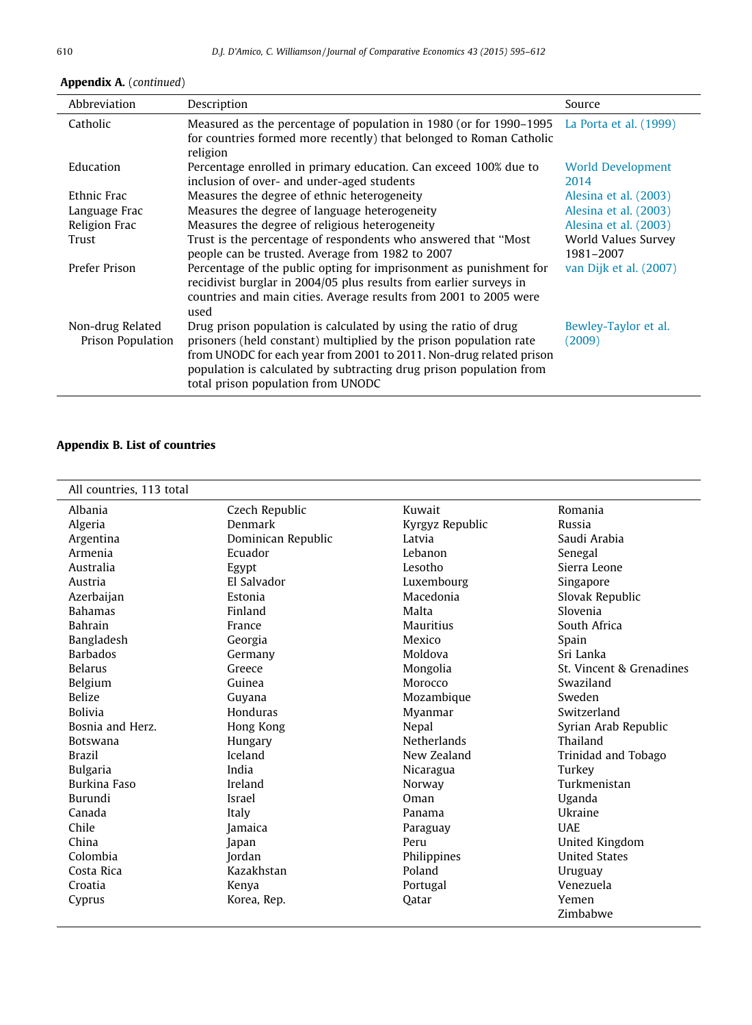| Abbreviation                          | Description                                                                                                                                                                                                                                                                                                               | Source                           |
|---------------------------------------|---------------------------------------------------------------------------------------------------------------------------------------------------------------------------------------------------------------------------------------------------------------------------------------------------------------------------|----------------------------------|
| Catholic                              | Measured as the percentage of population in 1980 (or for 1990–1995 La Porta et al. (1999)<br>for countries formed more recently) that belonged to Roman Catholic<br>religion                                                                                                                                              |                                  |
| Education                             | Percentage enrolled in primary education. Can exceed 100% due to<br>inclusion of over- and under-aged students                                                                                                                                                                                                            | <b>World Development</b><br>2014 |
| Ethnic Frac                           | Measures the degree of ethnic heterogeneity                                                                                                                                                                                                                                                                               | Alesina et al. (2003)            |
| Language Frac                         | Measures the degree of language heterogeneity                                                                                                                                                                                                                                                                             | Alesina et al. (2003)            |
| Religion Frac                         | Measures the degree of religious heterogeneity                                                                                                                                                                                                                                                                            | Alesina et al. (2003)            |
| Trust                                 | Trust is the percentage of respondents who answered that "Most<br>people can be trusted. Average from 1982 to 2007                                                                                                                                                                                                        | World Values Survey<br>1981-2007 |
| Prefer Prison                         | Percentage of the public opting for imprisonment as punishment for<br>recidivist burglar in 2004/05 plus results from earlier surveys in<br>countries and main cities. Average results from 2001 to 2005 were<br>used                                                                                                     | van Dijk et al. (2007)           |
| Non-drug Related<br>Prison Population | Drug prison population is calculated by using the ratio of drug<br>prisoners (held constant) multiplied by the prison population rate<br>from UNODC for each year from 2001 to 2011. Non-drug related prison<br>population is calculated by subtracting drug prison population from<br>total prison population from UNODC | Bewley-Taylor et al.<br>(2009)   |

# <span id="page-15-0"></span>Appendix A. (continued)

## Appendix B. List of countries

| All countries, 113 total |                    |                    |                          |
|--------------------------|--------------------|--------------------|--------------------------|
| Albania                  | Czech Republic     | Kuwait             | Romania                  |
| Algeria                  | Denmark            | Kyrgyz Republic    | Russia                   |
| Argentina                | Dominican Republic | Latvia             | Saudi Arabia             |
| Armenia                  | Ecuador            | Lebanon            | Senegal                  |
| Australia                | Egypt              | Lesotho            | Sierra Leone             |
| Austria                  | El Salvador        | Luxembourg         | Singapore                |
| Azerbaijan               | Estonia            | Macedonia          | Slovak Republic          |
| <b>Bahamas</b>           | Finland            | Malta              | Slovenia                 |
| <b>Bahrain</b>           | France             | <b>Mauritius</b>   | South Africa             |
| Bangladesh               | Georgia            | Mexico             | Spain                    |
| <b>Barbados</b>          | Germany            | Moldova            | Sri Lanka                |
| <b>Belarus</b>           | Greece             | Mongolia           | St. Vincent & Grenadines |
| Belgium                  | Guinea             | Morocco            | Swaziland                |
| <b>Belize</b>            | Guyana             | Mozambique         | Sweden                   |
| <b>Bolivia</b>           | Honduras           | Myanmar            | Switzerland              |
| Bosnia and Herz.         | Hong Kong          | Nepal              | Syrian Arab Republic     |
| <b>Botswana</b>          | Hungary            | <b>Netherlands</b> | Thailand                 |
| <b>Brazil</b>            | Iceland            | New Zealand        | Trinidad and Tobago      |
| <b>Bulgaria</b>          | India              | Nicaragua          | Turkey                   |
| Burkina Faso             | Ireland            | Norway             | Turkmenistan             |
| Burundi                  | Israel             | Oman               | Uganda                   |
| Canada                   | Italy              | Panama             | Ukraine                  |
| Chile                    | Jamaica            | Paraguay           | <b>UAE</b>               |
| China                    | Japan              | Peru               | United Kingdom           |
| Colombia                 | Jordan             | Philippines        | <b>United States</b>     |
| Costa Rica               | Kazakhstan         | Poland             | Uruguay                  |
| Croatia                  | Kenya              | Portugal           | Venezuela                |
| Cyprus                   | Korea, Rep.        | Oatar              | Yemen                    |
|                          |                    |                    | Zimbabwe                 |
|                          |                    |                    |                          |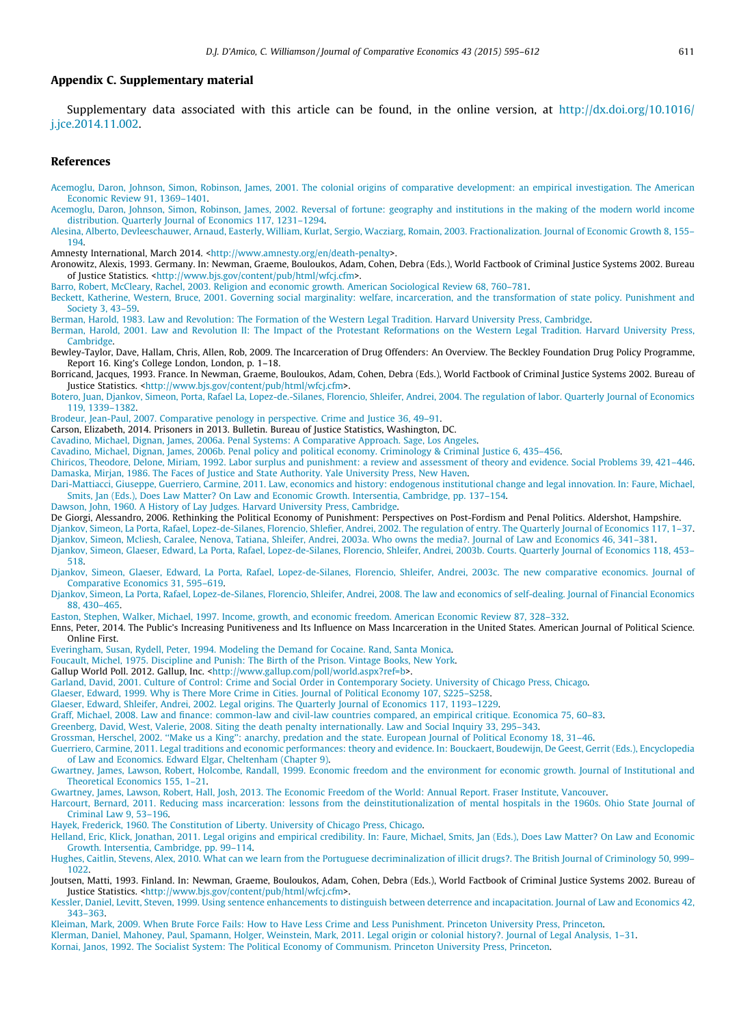## <span id="page-16-0"></span>Appendix C. Supplementary material

Supplementary data associated with this article can be found, in the online version, at [http://dx.doi.org/10.1016/](http://dx.doi.org/10.1016/j.jce.2014.11.002) [j.jce.2014.11.002](http://dx.doi.org/10.1016/j.jce.2014.11.002).

### References

[Acemoglu, Daron, Johnson, Simon, Robinson, James, 2001. The colonial origins of comparative development: an empirical investigation. The American](http://refhub.elsevier.com/S0147-5967(14)00117-6/h0005) [Economic Review 91, 1369–1401.](http://refhub.elsevier.com/S0147-5967(14)00117-6/h0005)

[Acemoglu, Daron, Johnson, Simon, Robinson, James, 2002. Reversal of fortune: geography and institutions in the making of the modern world income](http://refhub.elsevier.com/S0147-5967(14)00117-6/h0010) [distribution. Quarterly Journal of Economics 117, 1231–1294.](http://refhub.elsevier.com/S0147-5967(14)00117-6/h0010)

[Alesina, Alberto, Devleeschauwer, Arnaud, Easterly, William, Kurlat, Sergio, Wacziarg, Romain, 2003. Fractionalization. Journal of Economic Growth 8, 155–](http://refhub.elsevier.com/S0147-5967(14)00117-6/h0020) [194](http://refhub.elsevier.com/S0147-5967(14)00117-6/h0020).

Amnesty International, March 2014. <<http://www.amnesty.org/en/death-penalty>>.

Aronowitz, Alexis, 1993. Germany. In: Newman, Graeme, Bouloukos, Adam, Cohen, Debra (Eds.), World Factbook of Criminal Justice Systems 2002. Bureau of Justice Statistics. [<http://www.bjs.gov/content/pub/html/wfcj.cfm>](http://www.bjs.gov/content/pub/html/wfcj.cfm).

[Barro, Robert, McCleary, Rachel, 2003. Religion and economic growth. American Sociological Review 68, 760–781](http://refhub.elsevier.com/S0147-5967(14)00117-6/h0035).

[Beckett, Katherine, Western, Bruce, 2001. Governing social marginality: welfare, incarceration, and the transformation of state policy. Punishment and](http://refhub.elsevier.com/S0147-5967(14)00117-6/h0050) [Society 3, 43–59](http://refhub.elsevier.com/S0147-5967(14)00117-6/h0050).

[Berman, Harold, 1983. Law and Revolution: The Formation of the Western Legal Tradition. Harvard University Press, Cambridge](http://refhub.elsevier.com/S0147-5967(14)00117-6/h0055).

[Berman, Harold, 2001. Law and Revolution II: The Impact of the Protestant Reformations on the Western Legal Tradition. Harvard University Press,](http://refhub.elsevier.com/S0147-5967(14)00117-6/h0060) [Cambridge.](http://refhub.elsevier.com/S0147-5967(14)00117-6/h0060)

Bewley-Taylor, Dave, Hallam, Chris, Allen, Rob, 2009. The Incarceration of Drug Offenders: An Overview. The Beckley Foundation Drug Policy Programme, Report 16. King's College London, London, p. 1–18.

Borricand, Jacques, 1993. France. In Newman, Graeme, Bouloukos, Adam, Cohen, Debra (Eds.), World Factbook of Criminal Justice Systems 2002. Bureau of Justice Statistics. [<http://www.bjs.gov/content/pub/html/wfcj.cfm>](http://www.bjs.gov/content/pub/html/wfcj.cfm).

[Botero, Juan, Djankov, Simeon, Porta, Rafael La, Lopez-de.-Silanes, Florencio, Shleifer, Andrei, 2004. The regulation of labor. Quarterly Journal of Economics](http://refhub.elsevier.com/S0147-5967(14)00117-6/h0075) [119, 1339–1382](http://refhub.elsevier.com/S0147-5967(14)00117-6/h0075).

[Brodeur, Jean-Paul, 2007. Comparative penology in perspective. Crime and Justice 36, 49–91.](http://refhub.elsevier.com/S0147-5967(14)00117-6/h0085)

Carson, Elizabeth, 2014. Prisoners in 2013. Bulletin. Bureau of Justice Statistics, Washington, DC.

[Cavadino, Michael, Dignan, James, 2006a. Penal Systems: A Comparative Approach. Sage, Los Angeles](http://refhub.elsevier.com/S0147-5967(14)00117-6/h0095).

[Cavadino, Michael, Dignan, James, 2006b. Penal policy and political economy. Criminology & Criminal Justice 6, 435–456.](http://refhub.elsevier.com/S0147-5967(14)00117-6/h0100)

[Chiricos, Theodore, Delone, Miriam, 1992. Labor surplus and punishment: a review and assessment of theory and evidence. Social Problems 39, 421–446.](http://refhub.elsevier.com/S0147-5967(14)00117-6/h0105) [Damaska, Mirjan, 1986. The Faces of Justice and State Authority. Yale University Press, New Haven](http://refhub.elsevier.com/S0147-5967(14)00117-6/h0115).

[Dari-Mattiacci, Giuseppe, Guerriero, Carmine, 2011. Law, economics and history: endogenous institutional change and legal innovation. In: Faure, Michael,](http://refhub.elsevier.com/S0147-5967(14)00117-6/h0120) [Smits, Jan \(Eds.\), Does Law Matter? On Law and Economic Growth. Intersentia, Cambridge, pp. 137–154](http://refhub.elsevier.com/S0147-5967(14)00117-6/h0120).

[Dawson, John, 1960. A History of Lay Judges. Harvard University Press, Cambridge](http://refhub.elsevier.com/S0147-5967(14)00117-6/h0125).

De Giorgi, Alessandro, 2006. Rethinking the Political Economy of Punishment: Perspectives on Post-Fordism and Penal Politics. Aldershot, Hampshire.

[Djankov, Simeon, La Porta, Rafael, Lopez-de-Silanes, Florencio, Shlefier, Andrei, 2002. The regulation of entry. The Quarterly Journal of Economics 117, 1–37.](http://refhub.elsevier.com/S0147-5967(14)00117-6/h0135)

[Djankov, Simeon, Mcliesh, Caralee, Nenova, Tatiana, Shleifer, Andrei, 2003a. Who owns the media?. Journal of Law and Economics 46, 341–381](http://refhub.elsevier.com/S0147-5967(14)00117-6/h0140). [Djankov, Simeon, Glaeser, Edward, La Porta, Rafael, Lopez-de-Silanes, Florencio, Shleifer, Andrei, 2003b. Courts. Quarterly Journal of Economics 118, 453–](http://refhub.elsevier.com/S0147-5967(14)00117-6/h0145)

[518](http://refhub.elsevier.com/S0147-5967(14)00117-6/h0145). [Djankov, Simeon, Glaeser, Edward, La Porta, Rafael, Lopez-de-Silanes, Florencio, Shleifer, Andrei, 2003c. The new comparative economics. Journal of](http://refhub.elsevier.com/S0147-5967(14)00117-6/h0150) [Comparative Economics 31, 595–619.](http://refhub.elsevier.com/S0147-5967(14)00117-6/h0150)

[Djankov, Simeon, La Porta, Rafael, Lopez-de-Silanes, Florencio, Shleifer, Andrei, 2008. The law and economics of self-dealing. Journal of Financial Economics](http://refhub.elsevier.com/S0147-5967(14)00117-6/h0155) [88, 430–465.](http://refhub.elsevier.com/S0147-5967(14)00117-6/h0155)

[Easton, Stephen, Walker, Michael, 1997. Income, growth, and economic freedom. American Economic Review 87, 328–332](http://refhub.elsevier.com/S0147-5967(14)00117-6/h0165).

Enns, Peter, 2014. The Public's Increasing Punitiveness and Its Influence on Mass Incarceration in the United States. American Journal of Political Science. Online First.

[Everingham, Susan, Rydell, Peter, 1994. Modeling the Demand for Cocaine. Rand, Santa Monica.](http://refhub.elsevier.com/S0147-5967(14)00117-6/h0175)

[Foucault, Michel, 1975. Discipline and Punish: The Birth of the Prison. Vintage Books, New York](http://refhub.elsevier.com/S0147-5967(14)00117-6/h0180).

Gallup World Poll. 2012. Gallup, Inc. <[http://www.gallup.com/poll/world.aspx?ref=b>](http://www.gallup.com/poll/world.aspx?ref=b).

[Garland, David, 2001. Culture of Control: Crime and Social Order in Contemporary Society. University of Chicago Press, Chicago](http://refhub.elsevier.com/S0147-5967(14)00117-6/h0195).

[Glaeser, Edward, 1999. Why is There More Crime in Cities. Journal of Political Economy 107, S225–S258.](http://refhub.elsevier.com/S0147-5967(14)00117-6/h0200)

[Glaeser, Edward, Shleifer, Andrei, 2002. Legal origins. The Quarterly Journal of Economics 117, 1193–1229.](http://refhub.elsevier.com/S0147-5967(14)00117-6/h0205)

[Graff, Michael, 2008. Law and finance: common-law and civil-law countries compared, an empirical critique. Economica 75, 60–83.](http://refhub.elsevier.com/S0147-5967(14)00117-6/h0210)

[Greenberg, David, West, Valerie, 2008. Siting the death penalty internationally. Law and Social Inquiry 33, 295–343.](http://refhub.elsevier.com/S0147-5967(14)00117-6/h0215)

[Grossman, Herschel, 2002. ''Make us a King'': anarchy, predation and the state. European Journal of Political Economy 18, 31–46](http://refhub.elsevier.com/S0147-5967(14)00117-6/h0225).

[Guerriero, Carmine, 2011. Legal traditions and economic performances: theory and evidence. In: Bouckaert, Boudewijn, De Geest, Gerrit \(Eds.\), Encyclopedia](http://refhub.elsevier.com/S0147-5967(14)00117-6/h0235) [of Law and Economics. Edward Elgar, Cheltenham \(Chapter 9\).](http://refhub.elsevier.com/S0147-5967(14)00117-6/h0235)

[Gwartney, James, Lawson, Robert, Holcombe, Randall, 1999. Economic freedom and the environment for economic growth. Journal of Institutional and](http://refhub.elsevier.com/S0147-5967(14)00117-6/h0245) [Theoretical Economics 155, 1–21](http://refhub.elsevier.com/S0147-5967(14)00117-6/h0245).

[Gwartney, James, Lawson, Robert, Hall, Josh, 2013. The Economic Freedom of the World: Annual Report. Fraser Institute, Vancouver.](http://refhub.elsevier.com/S0147-5967(14)00117-6/h0250)

[Harcourt, Bernard, 2011. Reducing mass incarceration: lessons from the deinstitutionalization of mental hospitals in the 1960s. Ohio State Journal of](http://refhub.elsevier.com/S0147-5967(14)00117-6/h0255) [Criminal Law 9, 53–196.](http://refhub.elsevier.com/S0147-5967(14)00117-6/h0255)

[Hayek, Frederick, 1960. The Constitution of Liberty. University of Chicago Press, Chicago.](http://refhub.elsevier.com/S0147-5967(14)00117-6/h0260)

[Helland, Eric, Klick, Jonathan, 2011. Legal origins and empirical credibility. In: Faure, Michael, Smits, Jan \(Eds.\), Does Law Matter? On Law and Economic](http://refhub.elsevier.com/S0147-5967(14)00117-6/h0265) [Growth. Intersentia, Cambridge, pp. 99–114](http://refhub.elsevier.com/S0147-5967(14)00117-6/h0265).

[Hughes, Caitlin, Stevens, Alex, 2010. What can we learn from the Portuguese decriminalization of illicit drugs?. The British Journal of Criminology](http://refhub.elsevier.com/S0147-5967(14)00117-6/h0275) 50, 999– [1022](http://refhub.elsevier.com/S0147-5967(14)00117-6/h0275).

Joutsen, Matti, 1993. Finland. In: Newman, Graeme, Bouloukos, Adam, Cohen, Debra (Eds.), World Factbook of Criminal Justice Systems 2002. Bureau of Justice Statistics. [<http://www.bjs.gov/content/pub/html/wfcj.cfm>](http://www.bjs.gov/content/pub/html/wfcj.cfm).

[Kessler, Daniel, Levitt, Steven, 1999. Using sentence enhancements to distinguish between deterrence and incapacitation. Journal of Law and Economics 42,](http://refhub.elsevier.com/S0147-5967(14)00117-6/h0290) [343–363.](http://refhub.elsevier.com/S0147-5967(14)00117-6/h0290)

[Kleiman, Mark, 2009. When Brute Force Fails: How to Have Less Crime and Less Punishment. Princeton University Press, Princeton](http://refhub.elsevier.com/S0147-5967(14)00117-6/h0295).

[Klerman, Daniel, Mahoney, Paul, Spamann, Holger, Weinstein, Mark, 2011. Legal origin or colonial history?. Journal of Legal Analysis, 1–31](http://refhub.elsevier.com/S0147-5967(14)00117-6/h0300). [Kornai, Janos, 1992. The Socialist System: The Political Economy of Communism. Princeton University Press, Princeton.](http://refhub.elsevier.com/S0147-5967(14)00117-6/h0305)